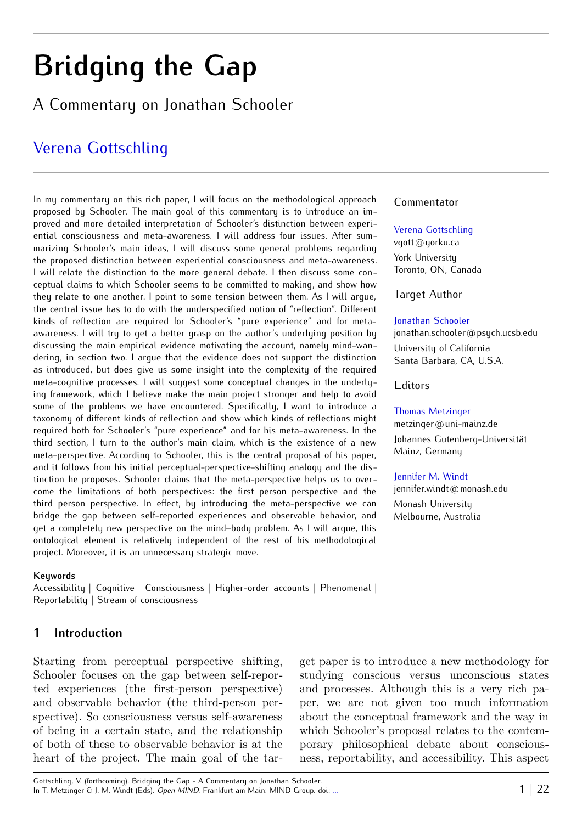# **Bridging the Gap**

# A Commentary on Jonathan Schooler

# [Verena Gottschling](http://www.open-mind.net/showAuthor?author=Verena_Gottschling)

In mu commentary on this rich paper. I will focus on the methodological approach proposed by Schooler. The main goal of this commentary is to introduce an improved and more detailed interpretation of Schooler's distinction between experiential consciousness and meta-awareness. I will address four issues. After summarizing Schooler's main ideas, I will discuss some general problems regarding the proposed distinction between experiential consciousness and meta-awareness*.* I will relate the distinction to the more general debate. I then discuss some conceptual claims to which Schooler seems to be committed to making, and show how they relate to one another. I point to some tension between them. As I will argue, the central issue has to do with the underspecified notion of "reflection". Different kinds of reflection are required for Schooler's "pure experience" and for metaawareness. I will try to get a better grasp on the author's underlying position by discussing the main empirical evidence motivating the account, namely mind-wandering, in section two. I argue that the evidence does not support the distinction as introduced, but does give us some insight into the complexity of the required meta-cognitive processes. I will suggest some conceptual changes in the underlying framework, which I believe make the main project stronger and help to avoid some of the problems we have encountered. Specifically, I want to introduce a taxonomy of different kinds of reflection and show which kinds of reflections might required both for Schooler's "pure experience" and for his meta-awareness. In the third section, I turn to the author's main claim, which is the existence of a new meta-perspective. According to Schooler, this is the central proposal of his paper, and it follows from his initial perceptual-perspective-shifting analogy and the distinction he proposes. Schooler claims that the meta-perspective helps us to overcome the limitations of both perspectives: the first person perspective and the third person perspective. In effect, by introducing the meta-perspective we can bridge the gap between self-reported experiences and observable behavior, and get a completely new perspective on the mind–body problem. As I will argue, this ontological element is relatively independent of the rest of his methodological project. Moreover, it is an unnecessary strategic move.

#### **Keywords**

Accessibility | Cognitive | Consciousness | Higher-order accounts | Phenomenal | Reportability | Stream of consciousness

#### <span id="page-0-0"></span>**1 Introduction**

Starting from perceptual perspective shifting, Schooler focuses on the gap between self-reported experiences (the first-person perspective) and observable behavior (the third-person perspective). So consciousness versus self-awareness of being in a certain state, and the relationship of both of these to observable behavior is at the heart of the project. The main goal of the target paper is to introduce a new methodology for studying conscious versus unconscious states and processes. Although this is a very rich paper, we are not given too much information about the conceptual framework and the way in which Schooler's proposal relates to the contemporary philosophical debate about consciousness, reportability, and accessibility. This aspect

[Verena Gottschling](http://www.open-mind.net/showAuthor?author=Verena_Gottschling)

Commentator

vgott@yorku.ca     York University Toronto, ON, Canada

Target Author

#### [Jonathan Schooler](http://www.open-mind.net/showAuthor?author=Jonathan_Schooler)

jonathan.schooler@psych.ucsb.edu     University of California Santa Barbara, CA, U.S.A.

#### **Editors**

#### [Thomas Metzinger](http://www.open-mind.net/showAuthor?author=Thomas_Metzinger)

metzinger@uni-mainz.de     Johannes Gutenberg-Universität Mainz, Germany

#### [Jennifer M. Windt](http://www.open-mind.net/showAuthor?author=JenniferM_Windt)

jennifer.windt@monash.edu     Monash University Melbourne, Australia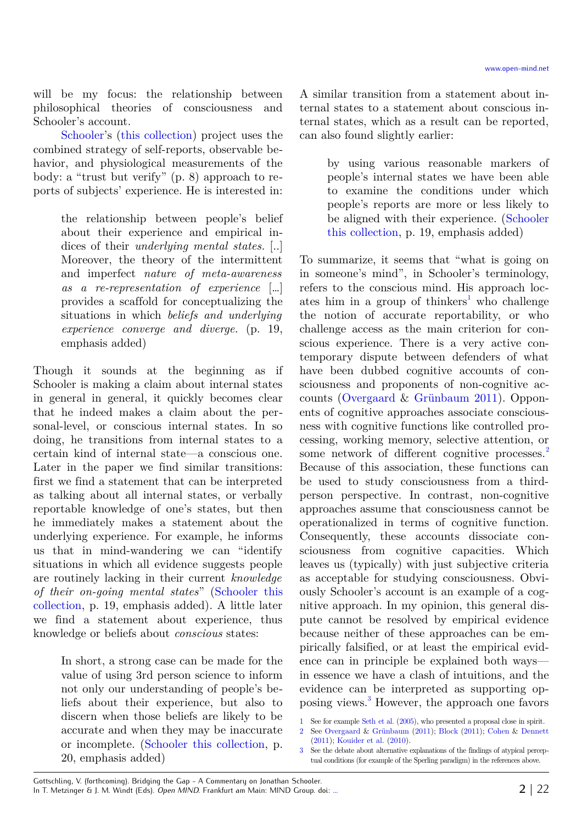will be my focus: the relationship between philosophical theories of consciousness and Schooler's account.

[Schooler'](#page-21-2)s [\(this](#page-21-2) [collection\)](#page-21-2) project uses the combined strategy of self-reports, observable behavior, and physiological measurements of the body: a "trust but verify" (p. 8) approach to reports of subjects' experience. He is interested in:

> the relationship between people's belief about their experience and empirical indices of their *underlying mental states*. [..] Moreover, the theory of the intermittent and imperfect *nature of meta-awareness as a re-representation of experience* […] provides a scaffold for conceptualizing the situations in which *beliefs and underlying experience converge and diverge*. (p. 19, emphasis added)

Though it sounds at the beginning as if Schooler is making a claim about internal states in general in general, it quickly becomes clear that he indeed makes a claim about the personal-level, or conscious internal states. In so doing, he transitions from internal states to a certain kind of internal state—a conscious one. Later in the paper we find similar transitions: first we find a statement that can be interpreted as talking about all internal states, or verbally reportable knowledge of one's states, but then he immediately makes a statement about the underlying experience. For example, he informs us that in mind-wandering we can "identify situations in which all evidence suggests people are routinely lacking in their current *knowledge of their on-going mental states*" [\(Schooler](#page-21-2) [this](#page-21-2) [collection,](#page-21-2) p. 19, emphasis added). A little later we find a statement about experience, thus knowledge or beliefs about *conscious* states:

> In short, a strong case can be made for the value of using 3rd person science to inform not only our understanding of people's beliefs about their experience, but also to discern when those beliefs are likely to be accurate and when they may be inaccurate or incomplete. [\(Schooler](#page-21-2) [this](#page-21-2) [collection,](#page-21-2) p. 20, emphasis added)

A similar transition from a statement about internal states to a statement about conscious internal states, which as a result can be reported, can also found slightly earlier:

> by using various reasonable markers of people's internal states we have been able to examine the conditions under which people's reports are more or less likely to be aligned with their experience. [\(Schooler](#page-21-2) [this](#page-21-2) [collection,](#page-21-2) p. 19, emphasis added)

<span id="page-1-3"></span>To summarize, it seems that "what is going on in someone's mind", in Schooler's terminology, refers to the conscious mind. His approach loc-ates him in a group of thinkers<sup>[1](#page-1-0)</sup> who challenge the notion of accurate reportability, or who challenge access as the main criterion for conscious experience. There is a very active contemporary dispute between defenders of what have been dubbed cognitive accounts of consciousness and proponents of non-cognitive accounts [\(Overgaard](#page-21-0) & [Grünbaum](#page-21-0) [2011\)](#page-21-0). Opponents of cognitive approaches associate consciousness with cognitive functions like controlled processing, working memory, selective attention, or some network of different cognitive processes.<sup>[2](#page-1-1)</sup> Because of this association, these functions can be used to study consciousness from a thirdperson perspective. In contrast, non-cognitive approaches assume that consciousness cannot be operationalized in terms of cognitive function. Consequently, these accounts dissociate consciousness from cognitive capacities. Which leaves us (typically) with just subjective criteria as acceptable for studying consciousness. Obviously Schooler's account is an example of a cognitive approach. In my opinion, this general dispute cannot be resolved by empirical evidence because neither of these approaches can be empirically falsified, or at least the empirical evidence can in principle be explained both ways in essence we have a clash of intuitions, and the evidence can be interpreted as supporting op-posing views.<sup>[3](#page-1-2)</sup> However, the approach one favors

- <span id="page-1-1"></span>2 See [Overgaard](#page-21-0) & [Grünbaum \(2011\)](#page-21-0); [Block \(2011\)](#page-20-2); [Cohen](#page-20-1) & [Dennett](#page-20-1)
- [\(2011\)](#page-20-1); [Kouider](#page-20-0) [et al. \(2010\)](#page-20-0).

Gottschling, V. (forthcoming). Bridging the Gap - A Commentary on Jonathan Schooler. In T. Metzinger & J. M. Windt (Eds). *Open MIND*. Frankfurt am Main: MIND Group. doi: [...](http://dx.doi.org/...) **2** | 22

<span id="page-1-0"></span><sup>1</sup> See for example [Seth](#page-21-1) [et al. \(2005\)](#page-21-1), who presented a proposal close in spirit.

<span id="page-1-2"></span><sup>3</sup> See the debate about alternative explanations of the findings of atypical perceptual conditions (for example of the Sperling paradigm) in the references above.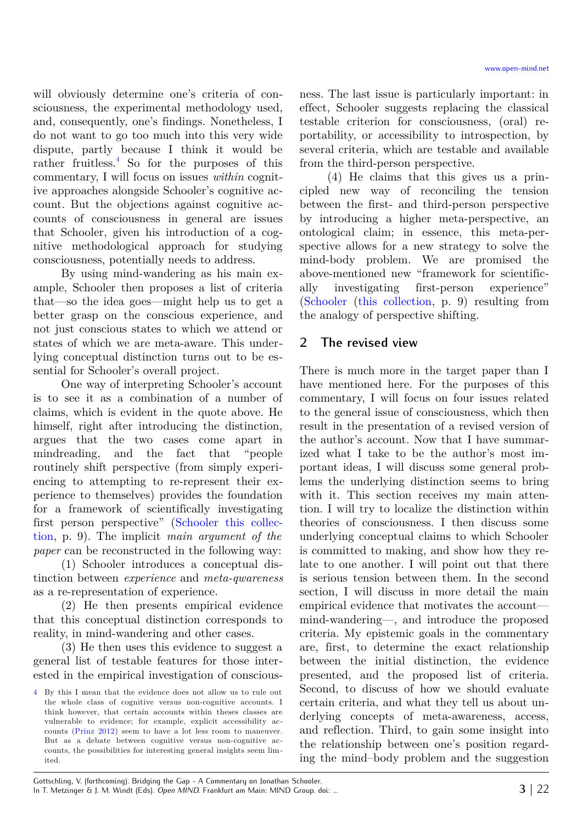will obviously determine one's criteria of consciousness, the experimental methodology used, and, consequently, one's findings. Nonetheless, I do not want to go too much into this very wide dispute, partly because I think it would be rather fruitless.<sup>[4](#page-2-0)</sup> So for the purposes of this commentary, I will focus on issues *within* cognitive approaches alongside Schooler's cognitive account. But the objections against cognitive accounts of consciousness in general are issues that Schooler, given his introduction of a cognitive methodological approach for studying consciousness, potentially needs to address.

By using mind-wandering as his main example, Schooler then proposes a list of criteria that—so the idea goes—might help us to get a better grasp on the conscious experience, and not just conscious states to which we attend or states of which we are meta-aware. This underlying conceptual distinction turns out to be essential for Schooler's overall project.

One way of interpreting Schooler's account is to see it as a combination of a number of claims, which is evident in the quote above. He himself, right after introducing the distinction, argues that the two cases come apart in mindreading, and the fact that "people routinely shift perspective (from simply experiencing to attempting to re-represent their experience to themselves) provides the foundation for a framework of scientifically investigating first person perspective" [\(Schooler](#page-21-2) [this](#page-21-2) [collec](#page-21-2)[tion,](#page-21-2) p. 9). The implicit *main argument of the paper* can be reconstructed in the following way:

<span id="page-2-5"></span><span id="page-2-1"></span>(1) Schooler introduces a conceptual distinction between *experience* and *meta-qwareness* as a re-representation of experience.

<span id="page-2-2"></span>(2) He then presents empirical evidence that this conceptual distinction corresponds to reality, in mind-wandering and other cases.

<span id="page-2-3"></span>(3) He then uses this evidence to suggest a general list of testable features for those interested in the empirical investigation of consciousness. The last issue is particularly important: in effect, Schooler suggests replacing the classical testable criterion for consciousness, (oral) reportability, or accessibility to introspection, by several criteria, which are testable and available from the third-person perspective.

<span id="page-2-4"></span>(4) He claims that this gives us a principled new way of reconciling the tension between the first- and third-person perspective by introducing a higher meta-perspective, an ontological claim; in essence, this meta-perspective allows for a new strategy to solve the mind-body problem. We are promised the above-mentioned new "framework for scientifically investigating first-person experience" [\(Schooler \(this](#page-21-2) [collection,](#page-21-2) p. 9) resulting from the analogy of perspective shifting.

# **2 The revised view**

There is much more in the target paper than I have mentioned here. For the purposes of this commentary, I will focus on four issues related to the general issue of consciousness, which then result in the presentation of a revised version of the author's account. Now that I have summarized what I take to be the author's most important ideas, I will discuss some general problems the underlying distinction seems to bring with it. This section receives my main attention. I will try to localize the distinction within theories of consciousness. I then discuss some underlying conceptual claims to which Schooler is committed to making, and show how they relate to one another. I will point out that there is serious tension between them. In the second section, I will discuss in more detail the main empirical evidence that motivates the account mind-wandering—, and introduce the proposed criteria. My epistemic goals in the commentary are, first, to determine the exact relationship between the initial distinction, the evidence presented, and the proposed list of criteria. Second, to discuss of how we should evaluate certain criteria, and what they tell us about underlying concepts of meta-awareness, access, and reflection. Third, to gain some insight into the relationship between one's position regarding the mind–body problem and the suggestion

Gottschling, V. (forthcoming). Bridging the Gap - A Commentary on Jonathan Schooler. In T. Metzinger & J. M. Windt (Eds). *Open MIND*. Frankfurt am Main: MIND Group. doi: [...](http://dx.doi.org/...) **3** | 22

<span id="page-2-0"></span><sup>4</sup> By this I mean that the evidence does not allow us to rule out the whole class of cognitive versus non-cognitive accounts. I think however, that certain accounts within theses classes are vulnerable to evidence; for example, explicit accessibility accounts [\(Prinz](#page-21-3) [2012\)](#page-21-3) seem to have a lot less room to maneuver. But as a debate between cognitive versus non-cognitive accounts, the possibilities for interesting general insights seem limited.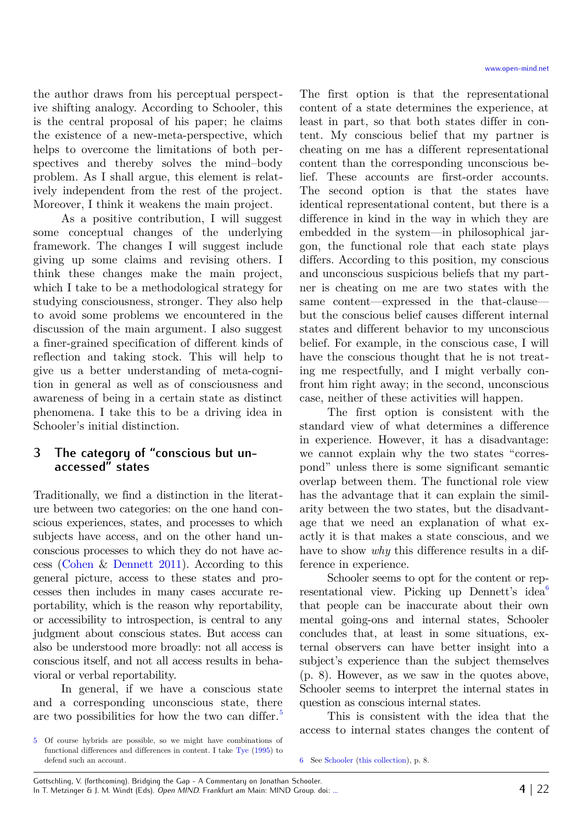the author draws from his perceptual perspective shifting analogy. According to Schooler, this is the central proposal of his paper; he claims the existence of a new-meta-perspective, which helps to overcome the limitations of both perspectives and thereby solves the mind–body problem. As I shall argue, this element is relatively independent from the rest of the project. Moreover, I think it weakens the main project.

As a positive contribution, I will suggest some conceptual changes of the underlying framework. The changes I will suggest include giving up some claims and revising others. I think these changes make the main project, which I take to be a methodological strategy for studying consciousness, stronger. They also help to avoid some problems we encountered in the discussion of the main argument. I also suggest a finer-grained specification of different kinds of reflection and taking stock. This will help to give us a better understanding of meta-cognition in general as well as of consciousness and awareness of being in a certain state as distinct phenomena. I take this to be a driving idea in Schooler's initial distinction.

#### **3 The category of "conscious but unaccessed" states**

Traditionally, we find a distinction in the literature between two categories: on the one hand conscious experiences, states, and processes to which subjects have access, and on the other hand unconscious processes to which they do not have access [\(Cohen](#page-20-1) & [Dennett](#page-20-1) [2011\)](#page-20-1). According to this general picture, access to these states and processes then includes in many cases accurate reportability, which is the reason why reportability, or accessibility to introspection, is central to any judgment about conscious states. But access can also be understood more broadly: not all access is conscious itself, and not all access results in behavioral or verbal reportability.

In general, if we have a conscious state and a corresponding unconscious state, there are two possibilities for how the two can differ.<sup>[5](#page-3-0)</sup>

The first option is that the representational content of a state determines the experience, at least in part, so that both states differ in content. My conscious belief that my partner is cheating on me has a different representational content than the corresponding unconscious belief. These accounts are first-order accounts. The second option is that the states have identical representational content, but there is a difference in kind in the way in which they are embedded in the system—in philosophical jargon, the functional role that each state plays differs. According to this position, my conscious and unconscious suspicious beliefs that my partner is cheating on me are two states with the same content—expressed in the that-clause but the conscious belief causes different internal states and different behavior to my unconscious belief. For example, in the conscious case, I will have the conscious thought that he is not treating me respectfully, and I might verbally confront him right away; in the second, unconscious case, neither of these activities will happen.

The first option is consistent with the standard view of what determines a difference in experience. However, it has a disadvantage: we cannot explain why the two states "correspond" unless there is some significant semantic overlap between them. The functional role view has the advantage that it can explain the similarity between the two states, but the disadvantage that we need an explanation of what exactly it is that makes a state conscious, and we have to show *why* this difference results in a difference in experience.

Schooler seems to opt for the content or rep-resentational view. Picking up Dennett's idea<sup>[6](#page-3-1)</sup> that people can be inaccurate about their own mental going-ons and internal states, Schooler concludes that, at least in some situations, external observers can have better insight into a subject's experience than the subject themselves (p. 8). However, as we saw in the quotes above, Schooler seems to interpret the internal states in question as conscious internal states.

This is consistent with the idea that the access to internal states changes the content of

<span id="page-3-0"></span><sup>5</sup> Of course hybrids are possible, so we might have combinations of functional differences and differences in content. I take [Tye \(1995\)](#page-21-4) to defend such an account.

<span id="page-3-1"></span><sup>6</sup> See [Schooler \(this](#page-21-2) [collection\)](#page-21-2), p. 8.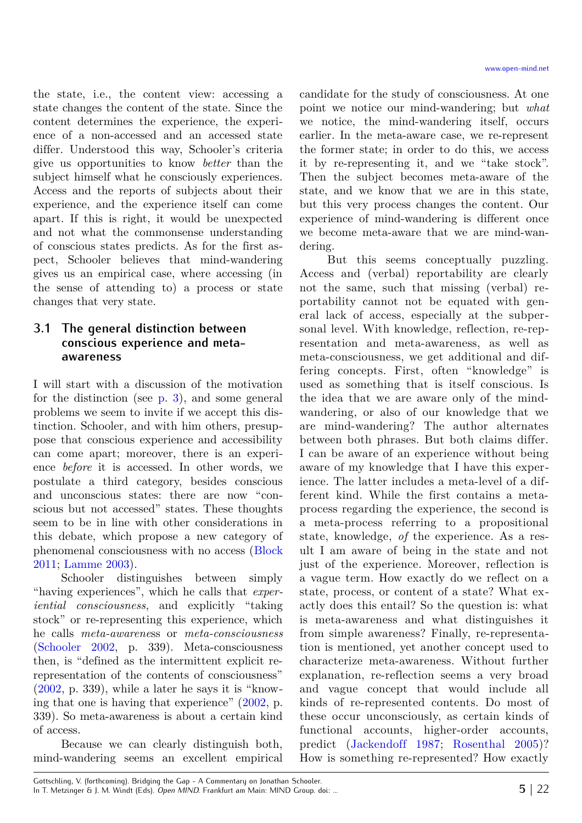the state, i.e., the content view: accessing a state changes the content of the state. Since the content determines the experience, the experience of a non-accessed and an accessed state differ. Understood this way, Schooler's criteria give us opportunities to know *better* than the subject himself what he consciously experiences. Access and the reports of subjects about their experience, and the experience itself can come apart. If this is right, it would be unexpected and not what the commonsense understanding of conscious states predicts. As for the first aspect, Schooler believes that mind-wandering gives us an empirical case, where accessing (in the sense of attending to) a process or state changes that very state.

## **3.1 The general distinction between conscious experience and metaawareness**

I will start with a discussion of the motivation for the distinction (see [p. 3\)](#page-2-1), and some general problems we seem to invite if we accept this distinction. Schooler, and with him others, presuppose that conscious experience and accessibility can come apart; moreover, there is an experience *before* it is accessed. In other words, we postulate a third category, besides conscious and unconscious states: there are now "conscious but not accessed" states. These thoughts seem to be in line with other considerations in this debate, which propose a new category of phenomenal consciousness with no access [\(Block](#page-20-2) [2011;](#page-20-2) [Lamme](#page-20-3) [2003\)](#page-20-3).

Schooler distinguishes between simply "having experiences", which he calls that *experiential consciousness*, and explicitly "taking stock" or re-representing this experience, which he calls *meta-awarene*ss or *meta-consciousness* [\(Schooler](#page-21-5) [2002,](#page-21-5) p. 339). Meta-consciousness then, is "defined as the intermittent explicit rerepresentation of the contents of consciousness" [\(2002,](#page-21-5) p. 339), while a later he says it is "knowing that one is having that experience" [\(2002,](#page-21-5) p. 339). So meta-awareness is about a certain kind of access.

Because we can clearly distinguish both, mind-wandering seems an excellent empirical candidate for the study of consciousness. At one point we notice our mind-wandering; but *what* we notice, the mind-wandering itself, occurs earlier. In the meta-aware case, we re-represent the former state; in order to do this, we access it by re-representing it, and we "take stock". Then the subject becomes meta-aware of the state, and we know that we are in this state, but this very process changes the content. Our experience of mind-wandering is different once we become meta-aware that we are mind-wandering.

But this seems conceptually puzzling. Access and (verbal) reportability are clearly not the same, such that missing (verbal) reportability cannot not be equated with general lack of access, especially at the subpersonal level. With knowledge, reflection, re-representation and meta-awareness, as well as meta-consciousness, we get additional and differing concepts. First, often "knowledge" is used as something that is itself conscious. Is the idea that we are aware only of the mindwandering, or also of our knowledge that we are mind-wandering? The author alternates between both phrases. But both claims differ. I can be aware of an experience without being aware of my knowledge that I have this experience. The latter includes a meta-level of a different kind. While the first contains a metaprocess regarding the experience, the second is a meta-process referring to a propositional state, knowledge, *of* the experience. As a result I am aware of being in the state and not just of the experience. Moreover, reflection is a vague term. How exactly do we reflect on a state, process, or content of a state? What exactly does this entail? So the question is: what is meta-awareness and what distinguishes it from simple awareness? Finally, re-representation is mentioned, yet another concept used to characterize meta-awareness. Without further explanation, re-reflection seems a very broad and vague concept that would include all kinds of re-represented contents. Do most of these occur unconsciously, as certain kinds of functional accounts, higher-order accounts, predict [\(Jackendoff](#page-20-4) [1987;](#page-20-4) [Rosenthal](#page-21-6) [2005\)](#page-21-6)? How is something re-represented? How exactly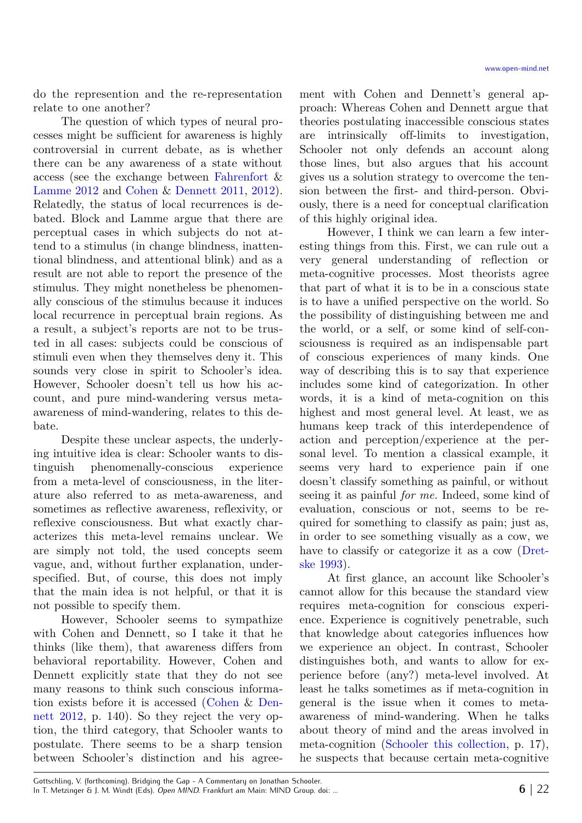do the represention and the re-representation relate to one another?

The question of which types of neural processes might be sufficient for awareness is highly controversial in current debate, as is whether there can be any awareness of a state without access (see the exchange between [Fahrenfort](#page-20-6) & [Lamme](#page-20-6) [2012](#page-20-6) and [Cohen](#page-20-1) & [Dennett](#page-20-1) [2011,](#page-20-1) [2012\)](#page-20-5). Relatedly, the status of local recurrences is debated. Block and Lamme argue that there are perceptual cases in which subjects do not attend to a stimulus (in change blindness, inattentional blindness, and attentional blink) and as a result are not able to report the presence of the stimulus. They might nonetheless be phenomenally conscious of the stimulus because it induces local recurrence in perceptual brain regions. As a result, a subject's reports are not to be trusted in all cases: subjects could be conscious of stimuli even when they themselves deny it. This sounds very close in spirit to Schooler's idea. However, Schooler doesn't tell us how his account, and pure mind-wandering versus metaawareness of mind-wandering, relates to this debate.

Despite these unclear aspects, the underlying intuitive idea is clear: Schooler wants to distinguish phenomenally-conscious experience from a meta-level of consciousness, in the literature also referred to as meta-awareness, and sometimes as reflective awareness, reflexivity, or reflexive consciousness. But what exactly characterizes this meta-level remains unclear. We are simply not told, the used concepts seem vague, and, without further explanation, underspecified. But, of course, this does not imply that the main idea is not helpful, or that it is not possible to specify them.

However, Schooler seems to sympathize with Cohen and Dennett, so I take it that he thinks (like them), that awareness differs from behavioral reportability. However, Cohen and Dennett explicitly state that they do not see many reasons to think such conscious information exists before it is accessed [\(Cohen](#page-20-5) & [Den](#page-20-5)[nett](#page-20-5) [2012,](#page-20-5) p. 140). So they reject the very option, the third category, that Schooler wants to postulate. There seems to be a sharp tension between Schooler's distinction and his agreement with Cohen and Dennett's general approach: Whereas Cohen and Dennett argue that theories postulating inaccessible conscious states are intrinsically off-limits to investigation, Schooler not only defends an account along those lines, but also argues that his account gives us a solution strategy to overcome the tension between the first- and third-person. Obviously, there is a need for conceptual clarification of this highly original idea.

However, I think we can learn a few interesting things from this. First, we can rule out a very general understanding of reflection or meta-cognitive processes. Most theorists agree that part of what it is to be in a conscious state is to have a unified perspective on the world. So the possibility of distinguishing between me and the world, or a self, or some kind of self-consciousness is required as an indispensable part of conscious experiences of many kinds. One way of describing this is to say that experience includes some kind of categorization. In other words, it is a kind of meta-cognition on this highest and most general level. At least, we as humans keep track of this interdependence of action and perception/experience at the personal level. To mention a classical example, it seems very hard to experience pain if one doesn't classify something as painful, or without seeing it as painful *for me.* Indeed, some kind of evaluation, conscious or not, seems to be required for something to classify as pain; just as, in order to see something visually as a cow, we have to classify or categorize it as a cow [\(Dret](#page-20-7)[ske](#page-20-7) [1993\)](#page-20-7).

At first glance, an account like Schooler's cannot allow for this because the standard view requires meta-cognition for conscious experience. Experience is cognitively penetrable, such that knowledge about categories influences how we experience an object. In contrast, Schooler distinguishes both, and wants to allow for experience before (any?) meta-level involved. At least he talks sometimes as if meta-cognition in general is the issue when it comes to metaawareness of mind-wandering. When he talks about theory of mind and the areas involved in meta-cognition [\(Schooler](#page-21-2) [this collection,](#page-21-2) p. 17), he suspects that because certain meta-cognitive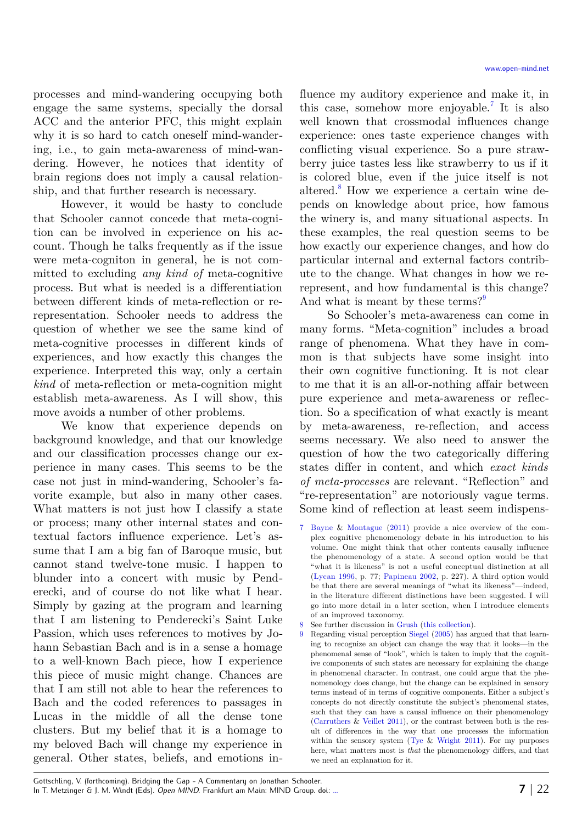processes and mind-wandering occupying both engage the same systems, specially the dorsal ACC and the anterior PFC, this might explain why it is so hard to catch oneself mind-wandering, i.e., to gain meta-awareness of mind-wandering. However, he notices that identity of brain regions does not imply a causal relationship, and that further research is necessary.

However, it would be hasty to conclude that Schooler cannot concede that meta-cognition can be involved in experience on his account. Though he talks frequently as if the issue were meta-cogniton in general, he is not committed to excluding *any kind of* meta-cognitive process. But what is needed is a differentiation between different kinds of meta-reflection or rerepresentation. Schooler needs to address the question of whether we see the same kind of meta-cognitive processes in different kinds of experiences, and how exactly this changes the experience. Interpreted this way, only a certain *kind* of meta-reflection or meta-cognition might establish meta-awareness. As I will show, this move avoids a number of other problems.

We know that experience depends on background knowledge, and that our knowledge and our classification processes change our experience in many cases. This seems to be the case not just in mind-wandering, Schooler's favorite example, but also in many other cases. What matters is not just how I classify a state or process; many other internal states and contextual factors influence experience. Let's assume that I am a big fan of Baroque music, but cannot stand twelve-tone music. I happen to blunder into a concert with music by Penderecki, and of course do not like what I hear. Simply by gazing at the program and learning that I am listening to Penderecki's Saint Luke Passion, which uses references to motives by Johann Sebastian Bach and is in a sense a homage to a well-known Bach piece, how I experience this piece of music might change. Chances are that I am still not able to hear the references to Bach and the coded references to passages in Lucas in the middle of all the dense tone clusters. But my belief that it is a homage to my beloved Bach will change my experience in general. Other states, beliefs, and emotions influence my auditory experience and make it, in this case, somehow more enjoyable.<sup>[7](#page-6-0)</sup> It is also well known that crossmodal influences change experience: ones taste experience changes with conflicting visual experience. So a pure strawberry juice tastes less like strawberry to us if it is colored blue, even if the juice itself is not altered.<sup>[8](#page-6-1)</sup> How we experience a certain wine depends on knowledge about price, how famous the winery is, and many situational aspects. In these examples, the real question seems to be how exactly our experience changes, and how do particular internal and external factors contribute to the change. What changes in how we rerepresent, and how fundamental is this change? And what is meant by these terms?<sup>[9](#page-6-2)</sup>

So Schooler's meta-awareness can come in many forms. "Meta-cognition" includes a broad range of phenomena. What they have in common is that subjects have some insight into their own cognitive functioning. It is not clear to me that it is an all-or-nothing affair between pure experience and meta-awareness or reflection. So a specification of what exactly is meant by meta-awareness, re-reflection, and access seems necessary. We also need to answer the question of how the two categorically differing states differ in content, and which *exact kinds of meta-processes* are relevant. "Reflection" and "re-representation" are notoriously vague terms. Some kind of reflection at least seem indispens-

- <span id="page-6-0"></span>7 [Bayne](#page-20-9) & [Montague \(2011\)](#page-20-9) provide a nice overview of the complex cognitive phenomenology debate in his introduction to his volume. One might think that other contents causally influence the phenomenology of a state. A second option would be that "what it is likeness" is not a useful conceptual distinction at all [\(Lycan](#page-20-8) [1996,](#page-20-8) p. 77; [Papineau](#page-21-7) [2002,](#page-21-7) p. 227). A third option would be that there are several meanings of "what its likeness"—indeed, in the literature different distinctions have been suggested. I will go into more detail in a later section, when I introduce elements of an improved taxonomy.
- <span id="page-6-1"></span>8 See further discussion in [Grush \(this](#page-20-10) [collection\)](#page-20-10).
- <span id="page-6-2"></span>9 Regarding visual perception [Siegel \(2005\)](#page-21-9) has argued that that learning to recognize an object can change the way that it looks—in the phenomenal sense of "look", which is taken to imply that the cognitive components of such states are necessary for explaining the change in phenomenal character. In contrast, one could argue that the phenomenology does change, but the change can be explained in sensory terms instead of in terms of cognitive components. Either a subject's concepts do not directly constitute the subject's phenomenal states, such that they can have a causal influence on their phenomenology [\(Carruthers](#page-20-11) & [Veillet](#page-20-11) [2011\)](#page-20-11), or the contrast between both is the result of differences in the way that one processes the information within the sensory system [\(Tye](#page-21-8)  $&$  [Wright](#page-21-8) [2011\)](#page-21-8). For my purposes here, what matters most is *that* the phenomenology differs, and that we need an explanation for it.

Gottschling, V. (forthcoming). Bridging the Gap - A Commentary on Jonathan Schooler.

In T. Metzinger & J. M. Windt (Eds). *Open MIND*. Frankfurt am Main: MIND Group. doi: [...](http://dx.doi.org/...) **7** | 22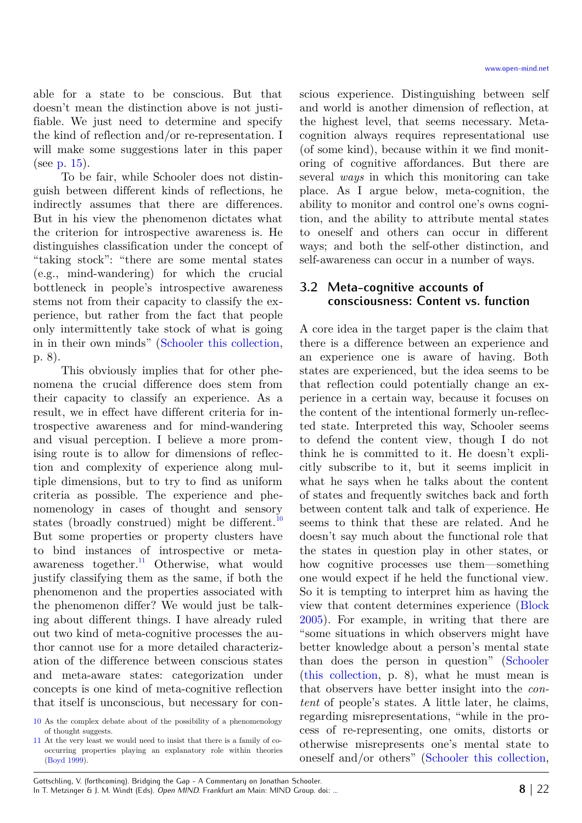able for a state to be conscious. But that doesn't mean the distinction above is not justifiable. We just need to determine and specify the kind of reflection and/or re-representation. I will make some suggestions later in this paper (see [p. 15\)](#page-14-0).

To be fair, while Schooler does not distinguish between different kinds of reflections, he indirectly assumes that there are differences. But in his view the phenomenon dictates what the criterion for introspective awareness is. He distinguishes classification under the concept of "taking stock": "there are some mental states (e.g., mind-wandering) for which the crucial bottleneck in people's introspective awareness stems not from their capacity to classify the experience, but rather from the fact that people only intermittently take stock of what is going in in their own minds" [\(Schooler](#page-21-2) [this](#page-21-2) [collection,](#page-21-2) p. 8).

<span id="page-7-2"></span>This obviously implies that for other phenomena the crucial difference does stem from their capacity to classify an experience. As a result, we in effect have different criteria for introspective awareness and for mind-wandering and visual perception. I believe a more promising route is to allow for dimensions of reflection and complexity of experience along multiple dimensions, but to try to find as uniform criteria as possible. The experience and phenomenology in cases of thought and sensory states (broadly construed) might be different.<sup>[10](#page-7-0)</sup> But some properties or property clusters have to bind instances of introspective or metaawareness together. $11$  Otherwise, what would justify classifying them as the same, if both the phenomenon and the properties associated with the phenomenon differ? We would just be talking about different things. I have already ruled out two kind of meta-cognitive processes the author cannot use for a more detailed characterization of the difference between conscious states and meta-aware states: categorization under concepts is one kind of meta-cognitive reflection that itself is unconscious, but necessary for con-

<span id="page-7-0"></span>10 As the complex debate about of the possibility of a phenomenology of thought suggests.

scious experience. Distinguishing between self and world is another dimension of reflection, at the highest level, that seems necessary. Metacognition always requires representational use (of some kind), because within it we find monitoring of cognitive affordances. But there are several *ways* in which this monitoring can take place. As I argue below, meta-cognition, the ability to monitor and control one's owns cognition, and the ability to attribute mental states to oneself and others can occur in different ways; and both the self-other distinction, and self-awareness can occur in a number of ways.

#### **3.2 Meta-cognitive accounts of consciousness: Content vs. function**

A core idea in the target paper is the claim that there is a difference between an experience and an experience one is aware of having. Both states are experienced, but the idea seems to be that reflection could potentially change an experience in a certain way, because it focuses on the content of the intentional formerly un-reflected state. Interpreted this way, Schooler seems to defend the content view, though I do not think he is committed to it. He doesn't explicitly subscribe to it, but it seems implicit in what he says when he talks about the content of states and frequently switches back and forth between content talk and talk of experience. He seems to think that these are related. And he doesn't say much about the functional role that the states in question play in other states, or how cognitive processes use them—something one would expect if he held the functional view. So it is tempting to interpret him as having the view that content determines experience [\(Block](#page-20-13) [2005\)](#page-20-13). For example, in writing that there are "some situations in which observers might have better knowledge about a person's mental state than does the person in question" [\(Schooler](#page-21-2) [\(this](#page-21-2) [collection,](#page-21-2) p. 8), what he must mean is that observers have better insight into the *content* of people's states. A little later, he claims, regarding misrepresentations, "while in the process of re-representing, one omits, distorts or otherwise misrepresents one's mental state to oneself and/or others" [\(Schooler](#page-21-2) [this](#page-21-2) [collection,](#page-21-2)

<span id="page-7-1"></span><sup>11</sup> At the very least we would need to insist that there is a family of cooccurring properties playing an explanatory role within theories [\(Boyd](#page-20-12) [1999\)](#page-20-12).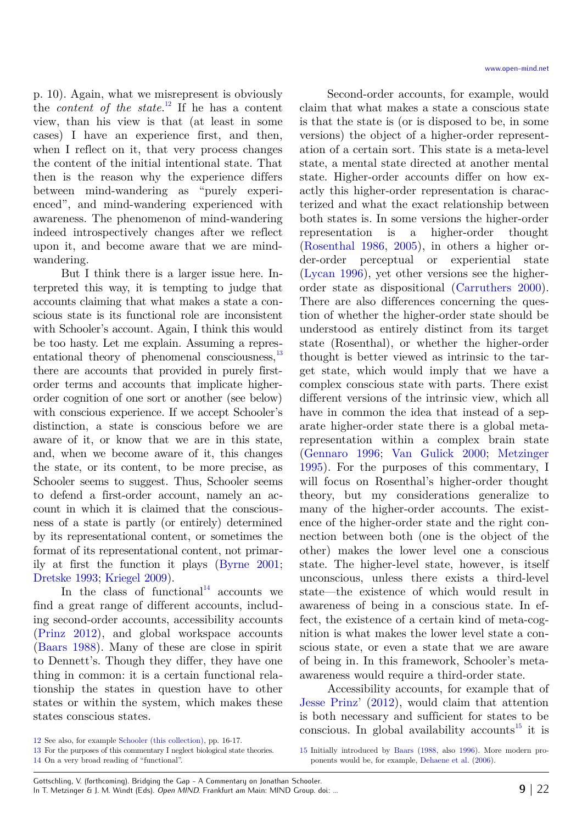p. 10). Again, what we misrepresent is obviously the *content of the state*. [12](#page-8-0) If he has a content view, than his view is that (at least in some cases) I have an experience first, and then, when I reflect on it, that very process changes the content of the initial intentional state. That then is the reason why the experience differs between mind-wandering as "purely experienced", and mind-wandering experienced with awareness. The phenomenon of mind-wandering indeed introspectively changes after we reflect upon it, and become aware that we are mindwandering.

But I think there is a larger issue here. Interpreted this way, it is tempting to judge that accounts claiming that what makes a state a conscious state is its functional role are inconsistent with Schooler's account. Again, I think this would be too hasty. Let me explain. Assuming a repres-entational theory of phenomenal consciousness,<sup>[13](#page-8-1)</sup> there are accounts that provided in purely firstorder terms and accounts that implicate higherorder cognition of one sort or another (see below) with conscious experience. If we accept Schooler's distinction, a state is conscious before we are aware of it, or know that we are in this state, and, when we become aware of it, this changes the state, or its content, to be more precise, as Schooler seems to suggest. Thus, Schooler seems to defend a first-order account, namely an account in which it is claimed that the consciousness of a state is partly (or entirely) determined by its representational content, or sometimes the format of its representational content, not primarily at first the function it plays [\(Byrne](#page-20-18) [2001;](#page-20-18) [Dretske](#page-20-7) [1993;](#page-20-7) [Kriegel](#page-20-17) [2009\)](#page-20-17).

In the class of functional<sup>[14](#page-8-2)</sup> accounts we find a great range of different accounts, including second-order accounts, accessibility accounts [\(Prinz](#page-21-3) [2012\)](#page-21-3), and global workspace accounts [\(Baars](#page-20-16) [1988\)](#page-20-16). Many of these are close in spirit to Dennett's. Though they differ, they have one thing in common: it is a certain functional relationship the states in question have to other states or within the system, which makes these states conscious states.

Second-order accounts, for example, would claim that what makes a state a conscious state is that the state is (or is disposed to be, in some versions) the object of a higher-order representation of a certain sort. This state is a meta-level state, a mental state directed at another mental state. Higher-order accounts differ on how exactly this higher-order representation is characterized and what the exact relationship between both states is. In some versions the higher-order representation is a higher-order thought [\(Rosenthal](#page-21-12) [1986,](#page-21-12) [2005\)](#page-21-6), in others a higher order-order perceptual or experiential state [\(Lycan](#page-20-8) [1996\)](#page-20-8), yet other versions see the higherorder state as dispositional [\(Carruthers](#page-20-20) [2000\)](#page-20-20). There are also differences concerning the question of whether the higher-order state should be understood as entirely distinct from its target state (Rosenthal), or whether the higher-order thought is better viewed as intrinsic to the target state, which would imply that we have a complex conscious state with parts. There exist different versions of the intrinsic view, which all have in common the idea that instead of a separate higher-order state there is a global metarepresentation within a complex brain state [\(Gennaro](#page-20-19) [1996;](#page-20-19) [Van Gulick](#page-21-11) [2000;](#page-21-11) [Metzinger](#page-21-10) [1995\)](#page-21-10). For the purposes of this commentary, I will focus on Rosenthal's higher-order thought theory, but my considerations generalize to many of the higher-order accounts. The existence of the higher-order state and the right connection between both (one is the object of the other) makes the lower level one a conscious state. The higher-level state, however, is itself unconscious, unless there exists a third-level state—the existence of which would result in awareness of being in a conscious state. In effect, the existence of a certain kind of meta-cognition is what makes the lower level state a conscious state, or even a state that we are aware of being in. In this framework, Schooler's metaawareness would require a third-order state.

Accessibility accounts, for example that of [Jesse](#page-21-3) [Prinz'](#page-21-3) [\(2012\)](#page-21-3), would claim that attention is both necessary and sufficient for states to be conscious. In global availability accounts<sup>[15](#page-8-3)</sup> it is

Gottschling, V. (forthcoming). Bridging the Gap - A Commentary on Jonathan Schooler. In T. Metzinger & J. M. Windt (Eds). *Open MIND*. Frankfurt am Main: MIND Group. doi: [...](http://dx.doi.org/...) **9** | 22

<span id="page-8-0"></span><sup>12</sup> See also, for example [Schooler \(this](#page-21-2) [collection\),](#page-21-2) pp. 16-17.

<span id="page-8-1"></span><sup>13</sup> For the purposes of this commentary I neglect biological state theories.

<span id="page-8-2"></span><sup>14</sup> On a very broad reading of "functional".

<span id="page-8-3"></span><sup>15</sup> Initially introduced by [Baars \(1988,](#page-20-16) also [1996\)](#page-20-15). More modern proponents would be, for example, [Dehaene](#page-20-14) [et al. \(2006\)](#page-20-14).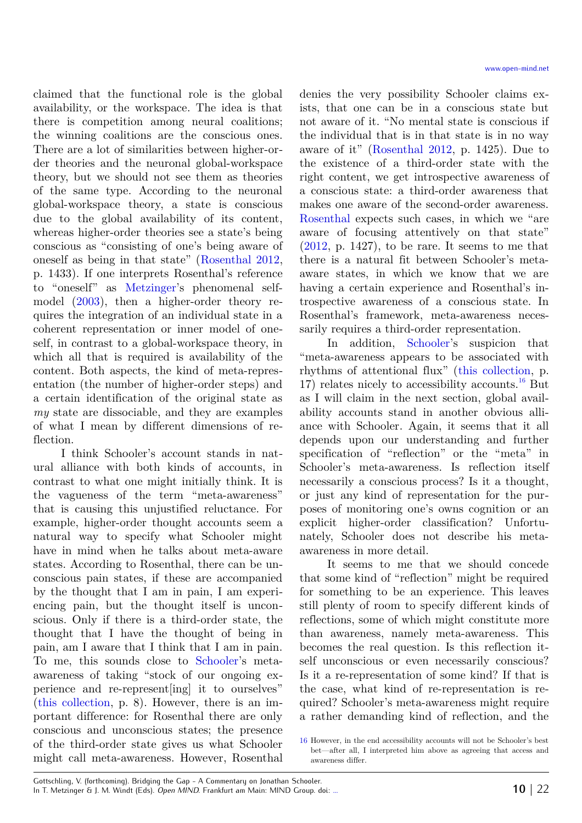claimed that the functional role is the global availability, or the workspace. The idea is that there is competition among neural coalitions; the winning coalitions are the conscious ones. There are a lot of similarities between higher-order theories and the neuronal global-workspace theory, but we should not see them as theories of the same type. According to the neuronal global-workspace theory, a state is conscious due to the global availability of its content, whereas higher-order theories see a state's being conscious as "consisting of one's being aware of oneself as being in that state" [\(Rosenthal](#page-21-14) [2012,](#page-21-14) p. 1433). If one interprets Rosenthal's reference to "oneself" as [Metzinger'](#page-21-13)s phenomenal selfmodel [\(2003\)](#page-21-13), then a higher-order theory requires the integration of an individual state in a coherent representation or inner model of oneself, in contrast to a global-workspace theory, in which all that is required is availability of the content. Both aspects, the kind of meta-representation (the number of higher-order steps) and a certain identification of the original state as *my* state are dissociable, and they are examples of what I mean by different dimensions of reflection.

I think Schooler's account stands in natural alliance with both kinds of accounts, in contrast to what one might initially think. It is the vagueness of the term "meta-awareness" that is causing this unjustified reluctance. For example, higher-order thought accounts seem a natural way to specify what Schooler might have in mind when he talks about meta-aware states. According to Rosenthal, there can be unconscious pain states, if these are accompanied by the thought that I am in pain, I am experiencing pain, but the thought itself is unconscious. Only if there is a third-order state, the thought that I have the thought of being in pain, am I aware that I think that I am in pain. To me, this sounds close to [Schooler'](#page-21-2)s metaawareness of taking "stock of our ongoing experience and re-represent[ing] it to ourselves" [\(this](#page-21-2) [collection,](#page-21-2) p. 8). However, there is an important difference: for Rosenthal there are only conscious and unconscious states; the presence of the third-order state gives us what Schooler might call meta-awareness. However, Rosenthal denies the very possibility Schooler claims exists, that one can be in a conscious state but not aware of it. "No mental state is conscious if the individual that is in that state is in no way aware of it" [\(Rosenthal](#page-21-14) [2012,](#page-21-14) p. 1425). Due to the existence of a third-order state with the right content, we get introspective awareness of a conscious state: a third-order awareness that makes one aware of the second-order awareness. [Rosenthal](#page-21-14) expects such cases, in which we "are aware of focusing attentively on that state"  $(2012, p. 1427)$  $(2012, p. 1427)$ , to be rare. It seems to me that there is a natural fit between Schooler's metaaware states, in which we know that we are having a certain experience and Rosenthal's introspective awareness of a conscious state. In Rosenthal's framework, meta-awareness necessarily requires a third-order representation.

<span id="page-9-1"></span>In addition, [Schooler'](#page-21-2)s suspicion that "meta-awareness appears to be associated with rhythms of attentional flux" [\(this](#page-21-2) [collection,](#page-21-2) p. 17) relates nicely to accessibility accounts.<sup>[16](#page-9-0)</sup> But as I will claim in the next section, global availability accounts stand in another obvious alliance with Schooler. Again, it seems that it all depends upon our understanding and further specification of "reflection" or the "meta" in Schooler's meta-awareness. Is reflection itself necessarily a conscious process? Is it a thought, or just any kind of representation for the purposes of monitoring one's owns cognition or an explicit higher-order classification? Unfortunately, Schooler does not describe his metaawareness in more detail.

It seems to me that we should concede that some kind of "reflection" might be required for something to be an experience. This leaves still plenty of room to specify different kinds of reflections, some of which might constitute more than awareness, namely meta-awareness. This becomes the real question. Is this reflection itself unconscious or even necessarily conscious? Is it a re-representation of some kind? If that is the case, what kind of re-representation is required? Schooler's meta-awareness might require a rather demanding kind of reflection, and the

<span id="page-9-0"></span><sup>16</sup> However, in the end accessibility accounts will not be Schooler's best bet—after all, I interpreted him above as agreeing that access and awareness differ.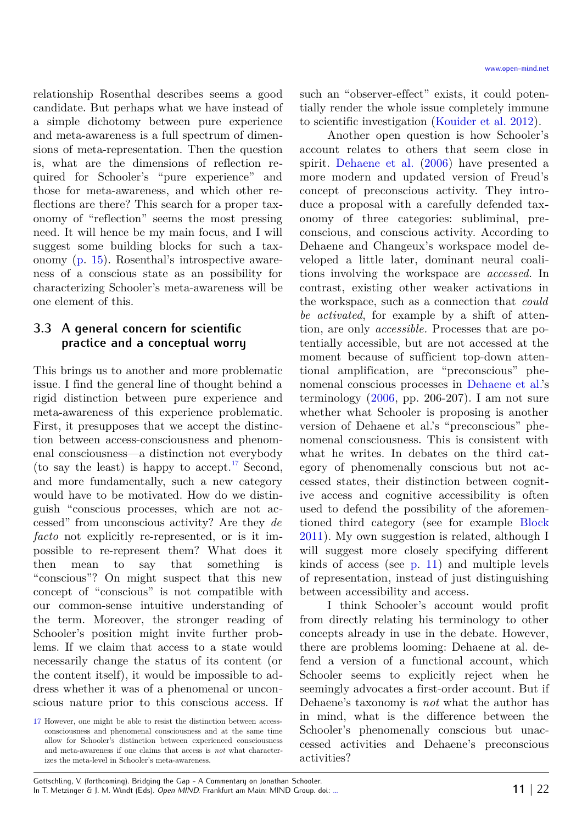relationship Rosenthal describes seems a good candidate. But perhaps what we have instead of a simple dichotomy between pure experience and meta-awareness is a full spectrum of dimensions of meta-representation. Then the question is, what are the dimensions of reflection required for Schooler's "pure experience" and those for meta-awareness, and which other reflections are there? This search for a proper taxonomy of "reflection" seems the most pressing need. It will hence be my main focus, and I will suggest some building blocks for such a taxonomy [\(p. 15\)](#page-14-0). Rosenthal's introspective awareness of a conscious state as an possibility for characterizing Schooler's meta-awareness will be one element of this.

### <span id="page-10-0"></span>**3.3 A general concern for scientific practice and a conceptual worry**

This brings us to another and more problematic issue. I find the general line of thought behind a rigid distinction between pure experience and meta-awareness of this experience problematic. First, it presupposes that we accept the distinction between access-consciousness and phenomenal consciousness—a distinction not everybody (to say the least) is happy to accept.<sup>[17](#page-10-1)</sup> Second, and more fundamentally, such a new category would have to be motivated. How do we distinguish "conscious processes, which are not accessed" from unconscious activity? Are they *de facto* not explicitly re-represented, or is it impossible to re-represent them? What does it then mean to say that something is "conscious"? On might suspect that this new concept of "conscious" is not compatible with our common-sense intuitive understanding of the term. Moreover, the stronger reading of Schooler's position might invite further problems. If we claim that access to a state would necessarily change the status of its content (or the content itself), it would be impossible to address whether it was of a phenomenal or unconscious nature prior to this conscious access. If

<span id="page-10-1"></span>17 However, one might be able to resist the distinction between accessconsciousness and phenomenal consciousness and at the same time allow for Schooler's distinction between experienced consciousness and meta-awareness if one claims that access is *not* what characterizes the meta-level in Schooler's meta-awareness.

such an "observer-effect" exists, it could potentially render the whole issue completely immune to scientific investigation [\(Kouider et al.](#page-20-21) [2012\)](#page-20-21).

Another open question is how Schooler's account relates to others that seem close in spirit. [Dehaene](#page-20-14) [et al. \(2006\)](#page-20-14) have presented a more modern and updated version of Freud's concept of preconscious activity. They introduce a proposal with a carefully defended taxonomy of three categories: subliminal, preconscious, and conscious activity. According to Dehaene and Changeux's workspace model developed a little later, dominant neural coalitions involving the workspace are *accessed.* In contrast, existing other weaker activations in the workspace, such as a connection that *could be activated*, for example by a shift of attention, are only *accessible.* Processes that are potentially accessible, but are not accessed at the moment because of sufficient top-down attentional amplification, are "preconscious" phenomenal conscious processes in [Dehaene](#page-20-14) [et al.'](#page-20-14)s terminology [\(2006,](#page-20-14) pp. 206-207). I am not sure whether what Schooler is proposing is another version of Dehaene et al.'s "preconscious" phenomenal consciousness. This is consistent with what he writes. In debates on the third category of phenomenally conscious but not accessed states, their distinction between cognitive access and cognitive accessibility is often used to defend the possibility of the aforementioned third category (see for example [Block](#page-20-2) [2011\)](#page-20-2). My own suggestion is related, although I will suggest more closely specifying different kinds of access (see [p. 11\)](#page-10-0) and multiple levels of representation, instead of just distinguishing between accessibility and access.

I think Schooler's account would profit from directly relating his terminology to other concepts already in use in the debate. However, there are problems looming: Dehaene at al. defend a version of a functional account, which Schooler seems to explicitly reject when he seemingly advocates a first-order account. But if Dehaene's taxonomy is *not* what the author has in mind, what is the difference between the Schooler's phenomenally conscious but unaccessed activities and Dehaene's preconscious activities?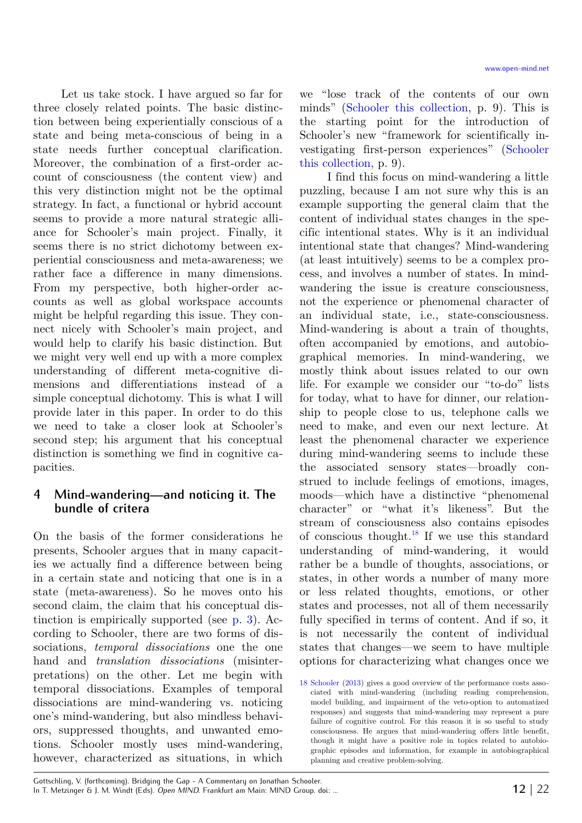Let us take stock. I have argued so far for three closely related points. The basic distinction between being experientially conscious of a state and being meta-conscious of being in a state needs further conceptual clarification. Moreover, the combination of a first-order account of consciousness (the content view) and this very distinction might not be the optimal strategy. In fact, a functional or hybrid account seems to provide a more natural strategic alliance for Schooler's main project. Finally, it seems there is no strict dichotomy between experiential consciousness and meta-awareness; we rather face a difference in many dimensions. From my perspective, both higher-order accounts as well as global workspace accounts might be helpful regarding this issue. They connect nicely with Schooler's main project, and would help to clarify his basic distinction. But we might very well end up with a more complex understanding of different meta-cognitive dimensions and differentiations instead of a simple conceptual dichotomy. This is what I will provide later in this paper. In order to do this we need to take a closer look at Schooler's second step; his argument that his conceptual distinction is something we find in cognitive capacities.

#### **4 Mind-wandering—and noticing it. The bundle of critera**

On the basis of the former considerations he presents, Schooler argues that in many capacities we actually find a difference between being in a certain state and noticing that one is in a state (meta-awareness). So he moves onto his second claim, the claim that his conceptual distinction is empirically supported (see [p. 3\)](#page-2-2). According to Schooler, there are two forms of dissociations, *temporal dissociations* one the one hand and *translation dissociations* (misinterpretations) on the other. Let me begin with temporal dissociations. Examples of temporal dissociations are mind-wandering vs. noticing one's mind-wandering, but also mindless behaviors, suppressed thoughts, and unwanted emotions. Schooler mostly uses mind-wandering, however, characterized as situations, in which we "lose track of the contents of our own minds" [\(Schooler](#page-21-2) [this](#page-21-2) [collection,](#page-21-2) p. 9). This is the starting point for the introduction of Schooler's new "framework for scientifically investigating first-person experiences" [\(Schooler](#page-21-2) [this](#page-21-2) [collection,](#page-21-2) p. 9).

I find this focus on mind-wandering a little puzzling, because I am not sure why this is an example supporting the general claim that the content of individual states changes in the specific intentional states. Why is it an individual intentional state that changes? Mind-wandering (at least intuitively) seems to be a complex process, and involves a number of states. In mindwandering the issue is creature consciousness, not the experience or phenomenal character of an individual state, i.e., state-consciousness. Mind-wandering is about a train of thoughts, often accompanied by emotions, and autobiographical memories. In mind-wandering, we mostly think about issues related to our own life. For example we consider our "to-do" lists for today, what to have for dinner, our relationship to people close to us, telephone calls we need to make, and even our next lecture. At least the phenomenal character we experience during mind-wandering seems to include these the associated sensory states—broadly construed to include feelings of emotions, images, moods—which have a distinctive "phenomenal character" or "what it's likeness". But the stream of consciousness also contains episodes of conscious thought.<sup>[18](#page-11-0)</sup> If we use this standard understanding of mind-wandering, it would rather be a bundle of thoughts, associations, or states, in other words a number of many more or less related thoughts, emotions, or other states and processes, not all of them necessarily fully specified in terms of content. And if so, it is not necessarily the content of individual states that changes—we seem to have multiple options for characterizing what changes once we

<span id="page-11-0"></span><sup>18</sup> [Schooler \(2013\)](#page-21-15) gives a good overview of the performance costs associated with mind-wandering (including reading comprehension, model building, and impairment of the veto-option to automatized responses) and suggests that mind-wandering may represent a pure failure of cognitive control. For this reason it is so useful to study consciousness. He argues that mind-wandering offers little benefit, though it might have a positive role in topics related to autobiographic episodes and information, for example in autobiographical planning and creative problem-solving.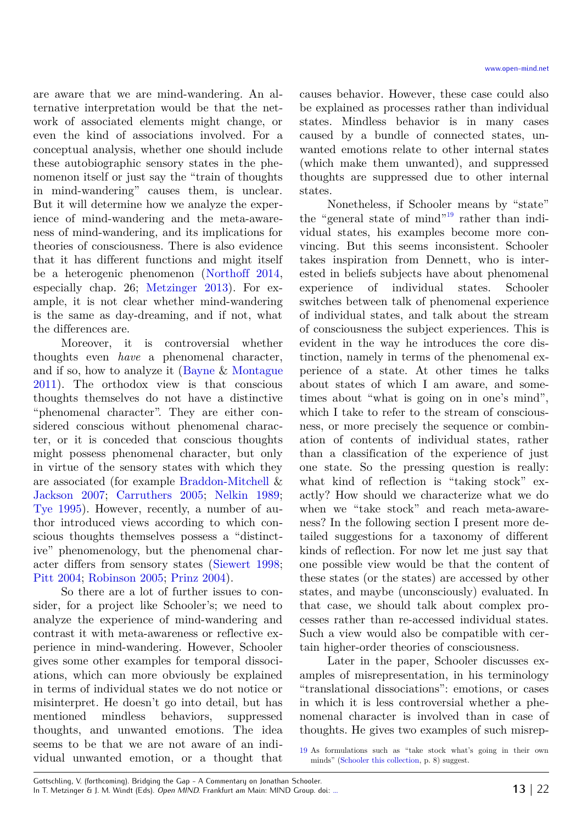[www.open-mind.net](http://www.open-mind.net/)

are aware that we are mind-wandering. An alternative interpretation would be that the network of associated elements might change, or even the kind of associations involved. For a conceptual analysis, whether one should include these autobiographic sensory states in the phenomenon itself or just say the "train of thoughts in mind-wandering" causes them, is unclear. But it will determine how we analyze the experience of mind-wandering and the meta-awareness of mind-wandering, and its implications for theories of consciousness. There is also evidence that it has different functions and might itself be a heterogenic phenomenon [\(Northoff](#page-21-17) [2014,](#page-21-17) especially chap. 26; [Metzinger](#page-21-16) [2013\)](#page-21-16). For example, it is not clear whether mind-wandering is the same as day-dreaming, and if not, what the differences are.

Moreover, it is controversial whether thoughts even *have* a phenomenal character, and if so, how to analyze it [\(Bayne](#page-20-9) & [Montague](#page-20-9) [2011\)](#page-20-9). The orthodox view is that conscious thoughts themselves do not have a distinctive "phenomenal character". They are either considered conscious without phenomenal character, or it is conceded that conscious thoughts might possess phenomenal character, but only in virtue of the sensory states with which they are associated (for example [Braddon-Mitchell](#page-20-23) & [Jackson](#page-20-23) [2007;](#page-20-23) [Carruthers](#page-20-22) [2005;](#page-20-22) [Nelkin](#page-21-22) [1989;](#page-21-22) [Tye](#page-21-4) [1995\)](#page-21-4). However, recently, a number of author introduced views according to which conscious thoughts themselves possess a "distinctive" phenomenology, but the phenomenal character differs from sensory states [\(Siewert](#page-21-21) [1998;](#page-21-21) [Pitt](#page-21-20) [2004;](#page-21-20) [Robinson](#page-21-19) [2005;](#page-21-19) [Prinz](#page-21-18) [2004\)](#page-21-18).

So there are a lot of further issues to consider, for a project like Schooler's; we need to analyze the experience of mind-wandering and contrast it with meta-awareness or reflective experience in mind-wandering. However, Schooler gives some other examples for temporal dissociations, which can more obviously be explained in terms of individual states we do not notice or misinterpret. He doesn't go into detail, but has mentioned mindless behaviors, suppressed thoughts, and unwanted emotions. The idea seems to be that we are not aware of an individual unwanted emotion, or a thought that causes behavior. However, these case could also be explained as processes rather than individual states. Mindless behavior is in many cases caused by a bundle of connected states, unwanted emotions relate to other internal states (which make them unwanted), and suppressed thoughts are suppressed due to other internal states.

Nonetheless, if Schooler means by "state" the "general state of mind"<sup>[19](#page-12-0)</sup> rather than individual states, his examples become more convincing. But this seems inconsistent. Schooler takes inspiration from Dennett, who is interested in beliefs subjects have about phenomenal experience of individual states. Schooler switches between talk of phenomenal experience of individual states, and talk about the stream of consciousness the subject experiences. This is evident in the way he introduces the core distinction, namely in terms of the phenomenal experience of a state. At other times he talks about states of which I am aware, and sometimes about "what is going on in one's mind", which I take to refer to the stream of consciousness, or more precisely the sequence or combination of contents of individual states, rather than a classification of the experience of just one state. So the pressing question is really: what kind of reflection is "taking stock" exactly? How should we characterize what we do when we "take stock" and reach meta-awareness? In the following section I present more detailed suggestions for a taxonomy of different kinds of reflection. For now let me just say that one possible view would be that the content of these states (or the states) are accessed by other states, and maybe (unconsciously) evaluated. In that case, we should talk about complex processes rather than re-accessed individual states. Such a view would also be compatible with certain higher-order theories of consciousness.

Later in the paper, Schooler discusses examples of misrepresentation, in his terminology "translational dissociations": emotions, or cases in which it is less controversial whether a phenomenal character is involved than in case of thoughts. He gives two examples of such misrep-

<span id="page-12-1"></span><span id="page-12-0"></span>19 As formulations such as "take stock what's going in their own minds" [\(Schooler](#page-21-2) [this](#page-21-2) [collection,](#page-21-2) p. 8) suggest.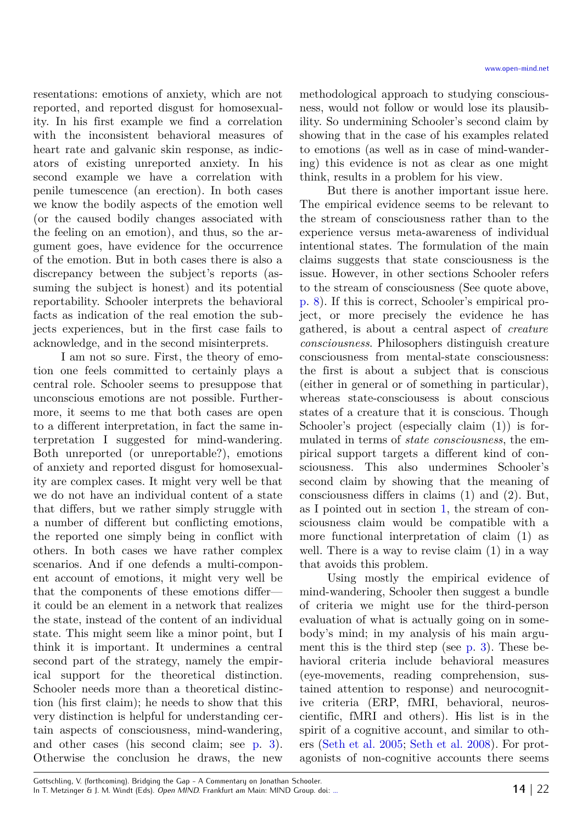resentations: emotions of anxiety, which are not reported, and reported disgust for homosexuality. In his first example we find a correlation with the inconsistent behavioral measures of heart rate and galvanic skin response, as indicators of existing unreported anxiety. In his second example we have a correlation with penile tumescence (an erection). In both cases we know the bodily aspects of the emotion well (or the caused bodily changes associated with the feeling on an emotion), and thus, so the argument goes, have evidence for the occurrence of the emotion. But in both cases there is also a discrepancy between the subject's reports (assuming the subject is honest) and its potential reportability. Schooler interprets the behavioral facts as indication of the real emotion the subjects experiences, but in the first case fails to acknowledge, and in the second misinterprets.

I am not so sure. First, the theory of emotion one feels committed to certainly plays a central role. Schooler seems to presuppose that unconscious emotions are not possible. Furthermore, it seems to me that both cases are open to a different interpretation, in fact the same interpretation I suggested for mind-wandering. Both unreported (or unreportable?), emotions of anxiety and reported disgust for homosexuality are complex cases. It might very well be that we do not have an individual content of a state that differs, but we rather simply struggle with a number of different but conflicting emotions, the reported one simply being in conflict with others. In both cases we have rather complex scenarios. And if one defends a multi-component account of emotions, it might very well be that the components of these emotions differ it could be an element in a network that realizes the state, instead of the content of an individual state. This might seem like a minor point, but I think it is important. It undermines a central second part of the strategy, namely the empirical support for the theoretical distinction. Schooler needs more than a theoretical distinction (his first claim); he needs to show that this very distinction is helpful for understanding certain aspects of consciousness, mind-wandering, and other cases (his second claim; see [p. 3\)](#page-2-2). Otherwise the conclusion he draws, the new

methodological approach to studying consciousness, would not follow or would lose its plausibility. So undermining Schooler's second claim by showing that in the case of his examples related to emotions (as well as in case of mind-wandering) this evidence is not as clear as one might think, results in a problem for his view.

But there is another important issue here. The empirical evidence seems to be relevant to the stream of consciousness rather than to the experience versus meta-awareness of individual intentional states. The formulation of the main claims suggests that state consciousness is the issue. However, in other sections Schooler refers to the stream of consciousness (See quote above, [p. 8\)](#page-7-2). If this is correct, Schooler's empirical project, or more precisely the evidence he has gathered, is about a central aspect of *creature consciousness*. Philosophers distinguish creature consciousness from mental-state consciousness: the first is about a subject that is conscious (either in general or of something in particular), whereas state-consciousess is about conscious states of a creature that it is conscious. Though Schooler's project (especially claim (1)) is formulated in terms of *state consciousness*, the empirical support targets a different kind of consciousness. This also undermines Schooler's second claim by showing that the meaning of consciousness differs in claims (1) and (2). But, as I pointed out in section [1,](#page-0-0) the stream of consciousness claim would be compatible with a more functional interpretation of claim (1) as well. There is a way to revise claim (1) in a way that avoids this problem.

Using mostly the empirical evidence of mind-wandering, Schooler then suggest a bundle of criteria we might use for the third-person evaluation of what is actually going on in somebody's mind; in my analysis of his main argument this is the third step (see [p. 3\)](#page-2-3). These behavioral criteria include behavioral measures (eye-movements, reading comprehension, sustained attention to response) and neurocognitive criteria (ERP, fMRI, behavioral, neuroscientific, fMRI and others). His list is in the spirit of a cognitive account, and similar to others [\(Seth et al.](#page-21-1) [2005;](#page-21-1) [Seth](#page-21-23) [et al.](#page-21-23) [2008\)](#page-21-23). For protagonists of non-cognitive accounts there seems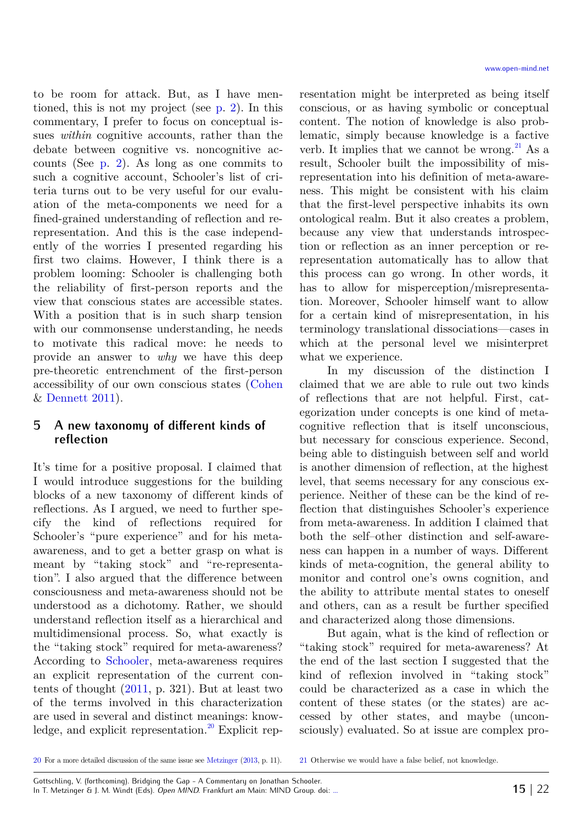to be room for attack. But, as I have mentioned, this is not my project (see [p. 2\)](#page-1-3). In this commentary, I prefer to focus on conceptual issues *within* cognitive accounts, rather than the debate between cognitive vs. noncognitive accounts (See [p.](#page-1-3) [2\)](#page-1-3). As long as one commits to such a cognitive account, Schooler's list of criteria turns out to be very useful for our evaluation of the meta-components we need for a fined-grained understanding of reflection and rerepresentation. And this is the case independently of the worries I presented regarding his first two claims. However, I think there is a problem looming: Schooler is challenging both the reliability of first-person reports and the view that conscious states are accessible states. With a position that is in such sharp tension with our commonsense understanding, he needs to motivate this radical move: he needs to provide an answer to *why* we have this deep pre-theoretic entrenchment of the first-person accessibility of our own conscious states [\(Cohen](#page-20-1) & [Dennett](#page-20-1) [2011\)](#page-20-1).

### **5 A new taxonomy of different kinds of reflection**

<span id="page-14-0"></span>It's time for a positive proposal. I claimed that I would introduce suggestions for the building blocks of a new taxonomy of different kinds of reflections. As I argued, we need to further specify the kind of reflections required for Schooler's "pure experience" and for his metaawareness, and to get a better grasp on what is meant by "taking stock" and "re-representation". I also argued that the difference between consciousness and meta-awareness should not be understood as a dichotomy. Rather, we should understand reflection itself as a hierarchical and multidimensional process. So, what exactly is the "taking stock" required for meta-awareness? According to [Schooler,](#page-21-24) meta-awareness requires an explicit representation of the current contents of thought [\(2011,](#page-21-24) p. 321). But at least two of the terms involved in this characterization are used in several and distinct meanings: knowledge, and explicit representation. $^{20}$  $^{20}$  $^{20}$  Explicit representation might be interpreted as being itself conscious, or as having symbolic or conceptual content. The notion of knowledge is also problematic, simply because knowledge is a factive verb. It implies that we cannot be wrong.<sup>[21](#page-14-2)</sup> As a result, Schooler built the impossibility of misrepresentation into his definition of meta-awareness. This might be consistent with his claim that the first-level perspective inhabits its own ontological realm. But it also creates a problem, because any view that understands introspection or reflection as an inner perception or rerepresentation automatically has to allow that this process can go wrong. In other words, it has to allow for misperception/misrepresentation. Moreover, Schooler himself want to allow for a certain kind of misrepresentation, in his terminology translational dissociations—cases in which at the personal level we misinterpret what we experience.

In my discussion of the distinction I claimed that we are able to rule out two kinds of reflections that are not helpful. First, categorization under concepts is one kind of metacognitive reflection that is itself unconscious, but necessary for conscious experience. Second, being able to distinguish between self and world is another dimension of reflection, at the highest level, that seems necessary for any conscious experience. Neither of these can be the kind of reflection that distinguishes Schooler's experience from meta-awareness. In addition I claimed that both the self–other distinction and self-awareness can happen in a number of ways. Different kinds of meta-cognition, the general ability to monitor and control one's owns cognition, and the ability to attribute mental states to oneself and others, can as a result be further specified and characterized along those dimensions.

But again, what is the kind of reflection or "taking stock" required for meta-awareness? At the end of the last section I suggested that the kind of reflexion involved in "taking stock" could be characterized as a case in which the content of these states (or the states) are accessed by other states, and maybe (unconsciously) evaluated. So at issue are complex pro-

```
20 For a more detailed discussion of the same issue see Metzinger (2013, p. 11).
```
<span id="page-14-2"></span>21 Otherwise we would have a false belief, not knowledge.

Gottschling, V. (forthcoming). Bridging the Gap - A Commentary on Jonathan Schooler.

In T. Metzinger & J. M. Windt (Eds). *Open MIND*. Frankfurt am Main: MIND Group. doi: [...](http://dx.doi.org/...) **15** | 22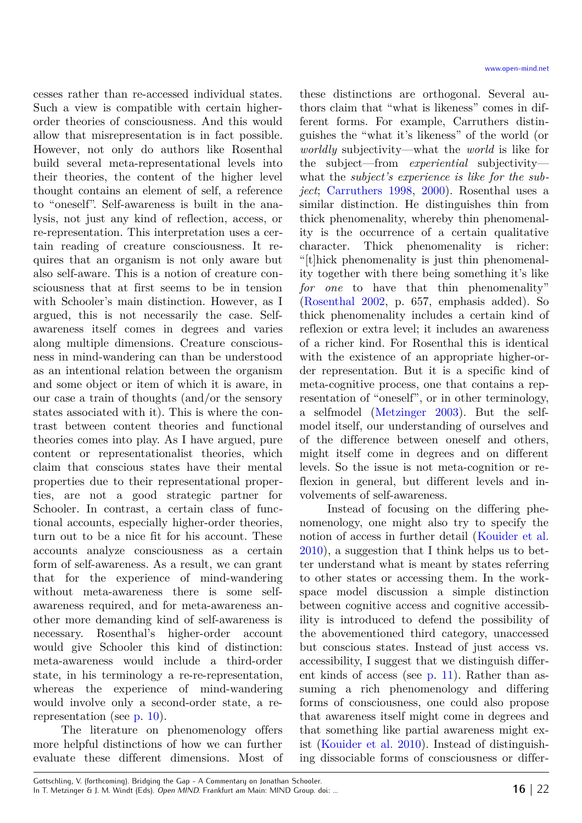cesses rather than re-accessed individual states. Such a view is compatible with certain higherorder theories of consciousness. And this would allow that misrepresentation is in fact possible. However, not only do authors like Rosenthal build several meta-representational levels into their theories, the content of the higher level thought contains an element of self, a reference to "oneself". Self-awareness is built in the analysis, not just any kind of reflection, access, or re-representation. This interpretation uses a certain reading of creature consciousness. It requires that an organism is not only aware but also self-aware. This is a notion of creature consciousness that at first seems to be in tension with Schooler's main distinction. However, as I argued, this is not necessarily the case. Selfawareness itself comes in degrees and varies along multiple dimensions. Creature consciousness in mind-wandering can than be understood as an intentional relation between the organism and some object or item of which it is aware, in our case a train of thoughts (and/or the sensory states associated with it). This is where the contrast between content theories and functional theories comes into play. As I have argued, pure content or representationalist theories, which claim that conscious states have their mental properties due to their representational properties, are not a good strategic partner for Schooler. In contrast, a certain class of functional accounts, especially higher-order theories, turn out to be a nice fit for his account. These accounts analyze consciousness as a certain form of self-awareness. As a result, we can grant that for the experience of mind-wandering without meta-awareness there is some selfawareness required, and for meta-awareness another more demanding kind of self-awareness is necessary. Rosenthal's higher-order account would give Schooler this kind of distinction: meta-awareness would include a third-order state, in his terminology a re-re-representation, whereas the experience of mind-wandering would involve only a second-order state, a rerepresentation (see [p. 10\)](#page-9-1).

The literature on phenomenology offers more helpful distinctions of how we can further evaluate these different dimensions. Most of these distinctions are orthogonal. Several authors claim that "what is likeness" comes in different forms. For example, Carruthers distinguishes the "what it's likeness" of the world (or *worldly* subjectivity—what the *world* is like for the subject—from *experiential* subjectivity what the *subject's experience is like for the subject*; [Carruthers](#page-20-24) [1998,](#page-20-24) [2000\)](#page-20-20). Rosenthal uses a similar distinction. He distinguishes thin from thick phenomenality, whereby thin phenomenality is the occurrence of a certain qualitative character. Thick phenomenality is richer: "[t]hick phenomenality is just thin phenomenality together with there being something it's like *for one* to have that thin phenomenality" [\(Rosenthal](#page-21-25) [2002,](#page-21-25) p. 657, emphasis added). So thick phenomenality includes a certain kind of reflexion or extra level; it includes an awareness of a richer kind. For Rosenthal this is identical with the existence of an appropriate higher-order representation. But it is a specific kind of meta-cognitive process, one that contains a representation of "oneself", or in other terminology, a selfmodel [\(Metzinger](#page-21-13) [2003\)](#page-21-13). But the selfmodel itself, our understanding of ourselves and of the difference between oneself and others, might itself come in degrees and on different levels. So the issue is not meta-cognition or reflexion in general, but different levels and involvements of self-awareness.

Instead of focusing on the differing phenomenology, one might also try to specify the notion of access in further detail [\(Kouider et al.](#page-20-0) [2010\)](#page-20-0), a suggestion that I think helps us to better understand what is meant by states referring to other states or accessing them. In the workspace model discussion a simple distinction between cognitive access and cognitive accessibility is introduced to defend the possibility of the abovementioned third category, unaccessed but conscious states. Instead of just access vs. accessibility, I suggest that we distinguish different kinds of access (see [p. 11\)](#page-10-0). Rather than assuming a rich phenomenology and differing forms of consciousness, one could also propose that awareness itself might come in degrees and that something like partial awareness might exist [\(Kouider et al.](#page-20-0) [2010\)](#page-20-0). Instead of distinguishing dissociable forms of consciousness or differ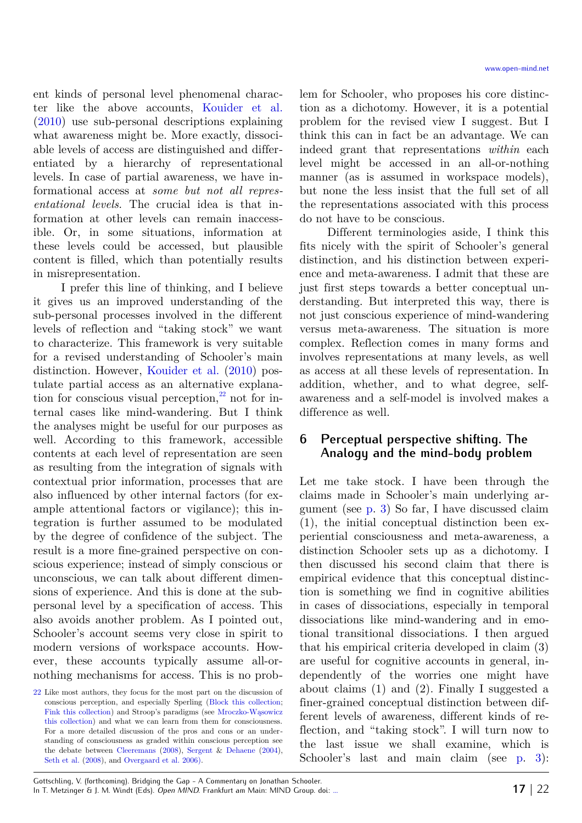ent kinds of personal level phenomenal character like the above accounts, [Kouider](#page-20-0) [et al.](#page-20-0) [\(2010\)](#page-20-0) use sub-personal descriptions explaining what awareness might be. More exactly, dissociable levels of access are distinguished and differentiated by a hierarchy of representational levels. In case of partial awareness, we have informational access at *some but not all representational levels*. The crucial idea is that information at other levels can remain inaccessible. Or, in some situations, information at these levels could be accessed, but plausible content is filled, which than potentially results in misrepresentation.

I prefer this line of thinking, and I believe it gives us an improved understanding of the sub-personal processes involved in the different levels of reflection and "taking stock" we want to characterize. This framework is very suitable for a revised understanding of Schooler's main distinction. However, [Kouider](#page-20-0) [et al. \(2010\)](#page-20-0) postulate partial access as an alternative explanation for conscious visual perception, $^{22}$  $^{22}$  $^{22}$  not for internal cases like mind-wandering. But I think the analyses might be useful for our purposes as well. According to this framework, accessible contents at each level of representation are seen as resulting from the integration of signals with contextual prior information, processes that are also influenced by other internal factors (for example attentional factors or vigilance); this integration is further assumed to be modulated by the degree of confidence of the subject. The result is a more fine-grained perspective on conscious experience; instead of simply conscious or unconscious, we can talk about different dimensions of experience. And this is done at the subpersonal level by a specification of access. This also avoids another problem. As I pointed out, Schooler's account seems very close in spirit to modern versions of workspace accounts. However, these accounts typically assume all-ornothing mechanisms for access. This is no prob-

<span id="page-16-0"></span>22 Like most authors, they focus for the most part on the discussion of conscious perception, and especially Sperling [\(Block](#page-20-27) [this](#page-20-27) [collection;](#page-20-27) [Fink](#page-20-26) [this](#page-20-26) [collection\)](#page-20-26) and Stroop's paradigms (see [Mroczko-Wąsowicz](#page-21-28) [this](#page-21-28) [collection\)](#page-21-28) and what we can learn from them for consciousness. For a more detailed discussion of the pros and cons or an understanding of consciousness as graded within conscious perception see the debate between [Cleeremans \(2008\)](#page-20-25), [Sergent](#page-21-27) & [Dehaene \(2004\)](#page-21-27), [Seth](#page-21-23) [et al. \(2008\)](#page-21-23), and [Overgaard](#page-21-26) [et al.](#page-21-26) [2006\).](#page-21-26)

lem for Schooler, who proposes his core distinction as a dichotomy. However, it is a potential problem for the revised view I suggest. But I think this can in fact be an advantage. We can indeed grant that representations *within* each level might be accessed in an all-or-nothing manner (as is assumed in workspace models), but none the less insist that the full set of all the representations associated with this process do not have to be conscious.

Different terminologies aside, I think this fits nicely with the spirit of Schooler's general distinction, and his distinction between experience and meta-awareness. I admit that these are just first steps towards a better conceptual understanding. But interpreted this way, there is not just conscious experience of mind-wandering versus meta-awareness. The situation is more complex. Reflection comes in many forms and involves representations at many levels, as well as access at all these levels of representation. In addition, whether, and to what degree, selfawareness and a self-model is involved makes a difference as well.

## **6 Perceptual perspective shifting. The Analogy and the mind-body problem**

Let me take stock. I have been through the claims made in Schooler's main underlying argument (see [p. 3\)](#page-2-5) So far, I have discussed claim (1), the initial conceptual distinction been experiential consciousness and meta-awareness, a distinction Schooler sets up as a dichotomy. I then discussed his second claim that there is empirical evidence that this conceptual distinction is something we find in cognitive abilities in cases of dissociations, especially in temporal dissociations like mind-wandering and in emotional transitional dissociations. I then argued that his empirical criteria developed in claim (3) are useful for cognitive accounts in general, independently of the worries one might have about claims (1) and (2). Finally I suggested a finer-grained conceptual distinction between different levels of awareness, different kinds of reflection, and "taking stock". I will turn now to the last issue we shall examine, which is Schooler's last and main claim (see [p.](#page-2-4) [3\)](#page-2-4):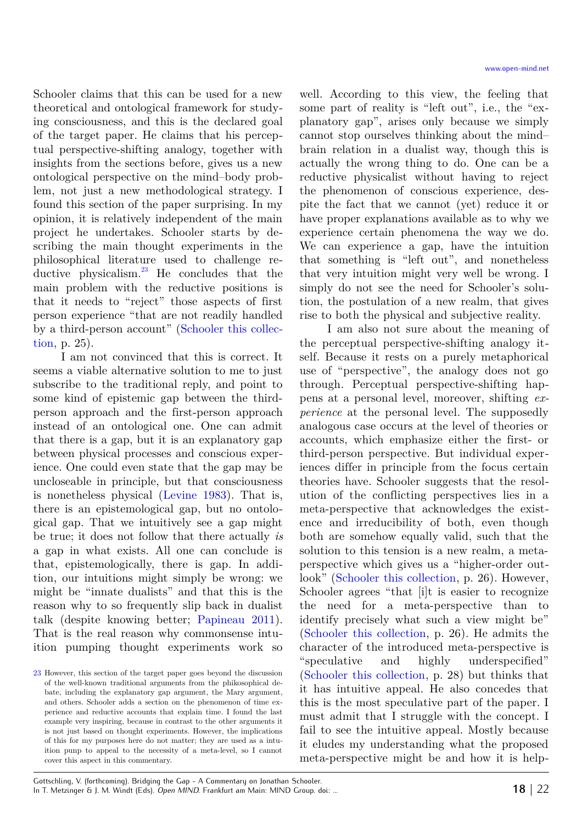Schooler claims that this can be used for a new theoretical and ontological framework for studying consciousness, and this is the declared goal of the target paper. He claims that his perceptual perspective-shifting analogy, together with insights from the sections before, gives us a new ontological perspective on the mind–body problem, not just a new methodological strategy. I found this section of the paper surprising. In my opinion, it is relatively independent of the main project he undertakes. Schooler starts by describing the main thought experiments in the philosophical literature used to challenge reductive physicalism. $^{23}$  $^{23}$  $^{23}$  He concludes that the main problem with the reductive positions is that it needs to "reject" those aspects of first person experience "that are not readily handled by a third-person account" [\(Schooler](#page-21-2) [this](#page-21-2) [collec](#page-21-2)[tion,](#page-21-2) p. 25).

I am not convinced that this is correct. It seems a viable alternative solution to me to just subscribe to the traditional reply, and point to some kind of epistemic gap between the thirdperson approach and the first-person approach instead of an ontological one. One can admit that there is a gap, but it is an explanatory gap between physical processes and conscious experience. One could even state that the gap may be uncloseable in principle, but that consciousness is nonetheless physical [\(Levine](#page-20-28) [1983\)](#page-20-28). That is, there is an epistemological gap, but no ontological gap. That we intuitively see a gap might be true; it does not follow that there actually *is* a gap in what exists. All one can conclude is that, epistemologically, there is gap. In addition, our intuitions might simply be wrong: we might be "innate dualists" and that this is the reason why to so frequently slip back in dualist talk (despite knowing better; [Papineau](#page-21-29) [2011\)](#page-21-29). That is the real reason why commonsense intuition pumping thought experiments work so

<span id="page-17-0"></span>23 However, this section of the target paper goes beyond the discussion of the well-known traditional arguments from the phikosophical debate, including the explanatory gap argument, the Mary argument, and others. Schooler adds a section on the phenomenon of time experience and reductive accounts that explain time. I found the last example very inspiring, because in contrast to the other arguments it is not just based on thought experiments. However, the implications of this for my purposes here do not matter; they are used as a intuition punp to appeal to the necessity of a meta-level, so I cannot cover this aspect in this commentary.

well. According to this view, the feeling that some part of reality is "left out", i.e., the "explanatory gap", arises only because we simply cannot stop ourselves thinking about the mind– brain relation in a dualist way, though this is actually the wrong thing to do. One can be a reductive physicalist without having to reject the phenomenon of conscious experience, despite the fact that we cannot (yet) reduce it or have proper explanations available as to why we experience certain phenomena the way we do. We can experience a gap, have the intuition that something is "left out", and nonetheless that very intuition might very well be wrong. I simply do not see the need for Schooler's solution, the postulation of a new realm, that gives rise to both the physical and subjective reality.

I am also not sure about the meaning of the perceptual perspective-shifting analogy itself. Because it rests on a purely metaphorical use of "perspective", the analogy does not go through. Perceptual perspective-shifting happens at a personal level, moreover, shifting *experience* at the personal level. The supposedly analogous case occurs at the level of theories or accounts, which emphasize either the first- or third-person perspective. But individual experiences differ in principle from the focus certain theories have. Schooler suggests that the resolution of the conflicting perspectives lies in a meta-perspective that acknowledges the existence and irreducibility of both, even though both are somehow equally valid, such that the solution to this tension is a new realm, a metaperspective which gives us a "higher-order outlook" [\(Schooler](#page-21-2) [this collection,](#page-21-2) p. 26). However, Schooler agrees "that [i]t is easier to recognize the need for a meta-perspective than to identify precisely what such a view might be" [\(Schooler](#page-21-2) [this](#page-21-2) [collection,](#page-21-2) p. 26). He admits the character of the introduced meta-perspective is "speculative and highly underspecified" [\(Schooler](#page-21-2) [this](#page-21-2) [collection,](#page-21-2) p. 28) but thinks that it has intuitive appeal. He also concedes that this is the most speculative part of the paper. I must admit that I struggle with the concept. I fail to see the intuitive appeal. Mostly because it eludes my understanding what the proposed meta-perspective might be and how it is help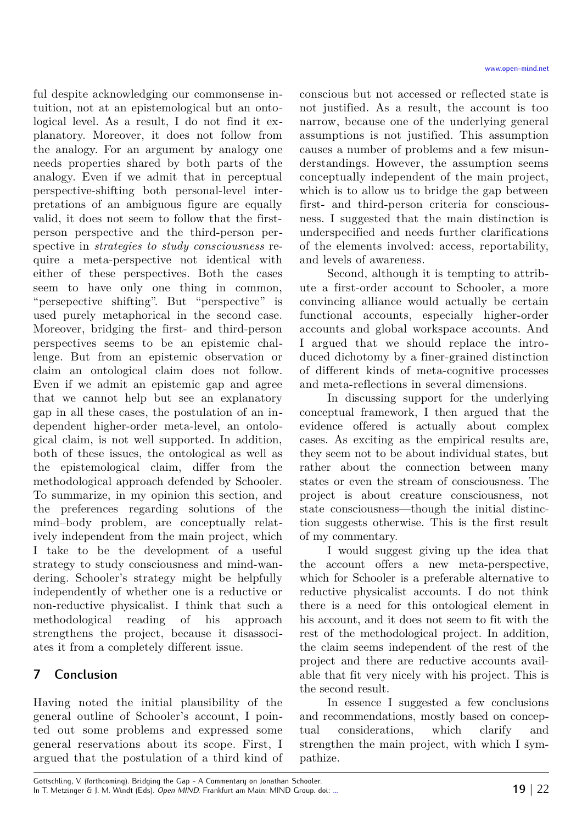ful despite acknowledging our commonsense intuition, not at an epistemological but an ontological level. As a result, I do not find it explanatory. Moreover, it does not follow from the analogy. For an argument by analogy one needs properties shared by both parts of the analogy. Even if we admit that in perceptual perspective-shifting both personal-level interpretations of an ambiguous figure are equally valid, it does not seem to follow that the firstperson perspective and the third-person perspective in *strategies to study consciousness* require a meta-perspective not identical with either of these perspectives. Both the cases seem to have only one thing in common, "persepective shifting". But "perspective" is used purely metaphorical in the second case. Moreover, bridging the first- and third-person perspectives seems to be an epistemic challenge. But from an epistemic observation or claim an ontological claim does not follow. Even if we admit an epistemic gap and agree that we cannot help but see an explanatory gap in all these cases, the postulation of an independent higher-order meta-level, an ontological claim, is not well supported. In addition,

both of these issues, the ontological as well as the epistemological claim, differ from the methodological approach defended by Schooler. To summarize, in my opinion this section, and the preferences regarding solutions of the mind–body problem, are conceptually relatively independent from the main project, which I take to be the development of a useful strategy to study consciousness and mind-wandering. Schooler's strategy might be helpfully independently of whether one is a reductive or non-reductive physicalist. I think that such a methodological reading of his approach strengthens the project, because it disassociates it from a completely different issue.

# **7 Conclusion**

Having noted the initial plausibility of the general outline of Schooler's account, I pointed out some problems and expressed some general reservations about its scope. First, I argued that the postulation of a third kind of conscious but not accessed or reflected state is not justified. As a result, the account is too narrow, because one of the underlying general assumptions is not justified. This assumption causes a number of problems and a few misunderstandings. However, the assumption seems conceptually independent of the main project, which is to allow us to bridge the gap between first- and third-person criteria for consciousness. I suggested that the main distinction is underspecified and needs further clarifications of the elements involved: access, reportability, and levels of awareness.

Second, although it is tempting to attribute a first-order account to Schooler, a more convincing alliance would actually be certain functional accounts, especially higher-order accounts and global workspace accounts. And I argued that we should replace the introduced dichotomy by a finer-grained distinction of different kinds of meta-cognitive processes and meta-reflections in several dimensions.

In discussing support for the underlying conceptual framework, I then argued that the evidence offered is actually about complex cases. As exciting as the empirical results are, they seem not to be about individual states, but rather about the connection between many states or even the stream of consciousness. The project is about creature consciousness, not state consciousness—though the initial distinction suggests otherwise. This is the first result of my commentary.

I would suggest giving up the idea that the account offers a new meta-perspective, which for Schooler is a preferable alternative to reductive physicalist accounts. I do not think there is a need for this ontological element in his account, and it does not seem to fit with the rest of the methodological project. In addition, the claim seems independent of the rest of the project and there are reductive accounts available that fit very nicely with his project. This is the second result.

In essence I suggested a few conclusions and recommendations, mostly based on conceptual considerations, which clarify and strengthen the main project, with which I sympathize.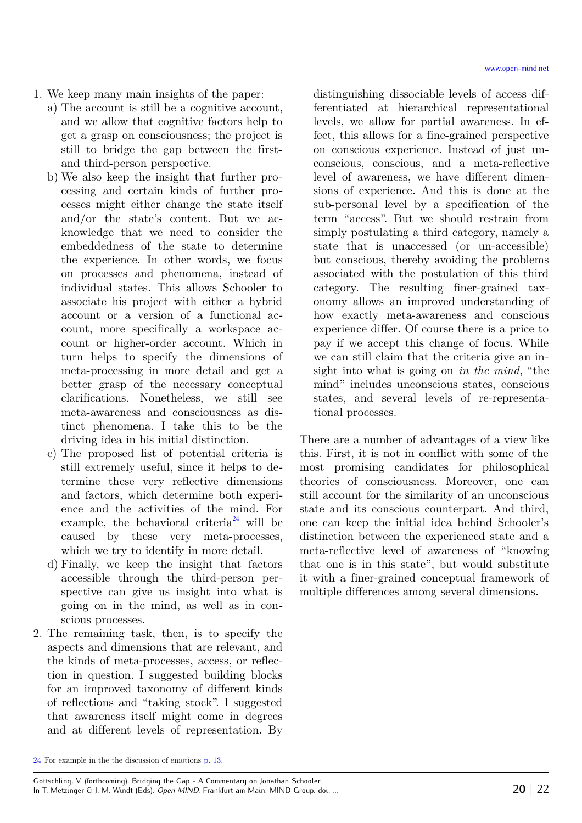- 1. We keep many main insights of the paper:
	- a) The account is still be a cognitive account, and we allow that cognitive factors help to get a grasp on consciousness; the project is still to bridge the gap between the firstand third-person perspective.
	- b) We also keep the insight that further processing and certain kinds of further processes might either change the state itself and/or the state's content. But we acknowledge that we need to consider the embeddedness of the state to determine the experience. In other words, we focus on processes and phenomena, instead of individual states. This allows Schooler to associate his project with either a hybrid account or a version of a functional account, more specifically a workspace account or higher-order account. Which in turn helps to specify the dimensions of meta-processing in more detail and get a better grasp of the necessary conceptual clarifications. Nonetheless, we still see meta-awareness and consciousness as distinct phenomena. I take this to be the driving idea in his initial distinction.
	- c) The proposed list of potential criteria is still extremely useful, since it helps to determine these very reflective dimensions and factors, which determine both experience and the activities of the mind. For example, the behavioral criteria<sup>[24](#page-19-0)</sup> will be caused by these very meta-processes, which we try to identify in more detail.
	- d) Finally, we keep the insight that factors accessible through the third-person perspective can give us insight into what is going on in the mind, as well as in conscious processes.
- 2. The remaining task, then, is to specify the aspects and dimensions that are relevant, and the kinds of meta-processes, access, or reflection in question. I suggested building blocks for an improved taxonomy of different kinds of reflections and "taking stock". I suggested that awareness itself might come in degrees and at different levels of representation. By

distinguishing dissociable levels of access differentiated at hierarchical representational levels, we allow for partial awareness. In effect, this allows for a fine-grained perspective on conscious experience. Instead of just unconscious, conscious, and a meta-reflective level of awareness, we have different dimensions of experience. And this is done at the sub-personal level by a specification of the term "access". But we should restrain from simply postulating a third category, namely a state that is unaccessed (or un-accessible) but conscious, thereby avoiding the problems associated with the postulation of this third category. The resulting finer-grained taxonomy allows an improved understanding of how exactly meta-awareness and conscious experience differ. Of course there is a price to pay if we accept this change of focus. While we can still claim that the criteria give an insight into what is going on *in the mind*, "the mind" includes unconscious states, conscious states, and several levels of re-representational processes.

There are a number of advantages of a view like this. First, it is not in conflict with some of the most promising candidates for philosophical theories of consciousness. Moreover, one can still account for the similarity of an unconscious state and its conscious counterpart. And third, one can keep the initial idea behind Schooler's distinction between the experienced state and a meta-reflective level of awareness of "knowing that one is in this state", but would substitute it with a finer-grained conceptual framework of multiple differences among several dimensions.

Gottschling, V. (forthcoming). Bridging the Gap - A Commentary on Jonathan Schooler. In T. Metzinger & J. M. Windt (Eds). *Open MIND*. Frankfurt am Main: MIND Group. doi: [...](http://dx.doi.org/...) **20** | 22

<span id="page-19-0"></span><sup>24</sup> For example in the the discussion of emotions [p. 13.](#page-12-1)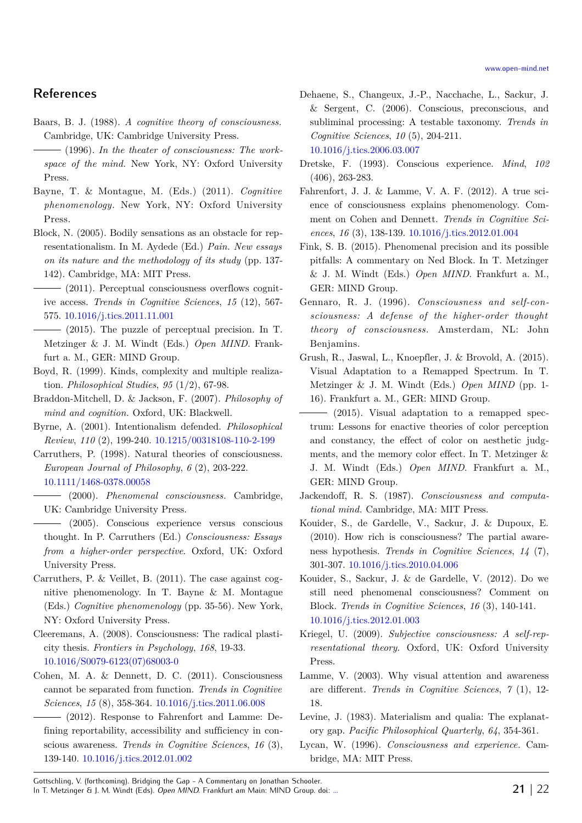#### **References**

<span id="page-20-16"></span>Baars, B. J. (1988). *A cognitive theory of consciousness.* Cambridge, UK: Cambridge University Press.

<span id="page-20-15"></span> (1996). *In the theater of consciousness: The workspace of the mind.* New York, NY: Oxford University Press.

- <span id="page-20-9"></span>Bayne, T. & Montague, M. (Eds.) (2011). *Cognitive phenomenology.* New York, NY: Oxford University Press.
- <span id="page-20-13"></span>Block, N. (2005). Bodily sensations as an obstacle for representationalism. In M. Aydede (Ed.) *Pain. New essays on its nature and the methodology of its study* (pp. 137- 142). Cambridge, MA: MIT Press.
	- (2011). Perceptual consciousness overflows cognitive access. *Trends in Cognitive Sciences*, *15* (12), 567- 575. [10.1016/j.tics.2011.11.001](http://dx.doi.org/10.1016/j.tics.2011.11.001)
- <span id="page-20-27"></span><span id="page-20-2"></span> $\sim$  (2015). The puzzle of perceptual precision. In T. Metzinger & J. M. Windt (Eds.) *Open MIND*. Frankfurt a. M., GER: MIND Group.
- <span id="page-20-12"></span>Boyd, R. (1999). Kinds, complexity and multiple realization. *Philosophical Studies*, *95* (1/2), 67-98.
- <span id="page-20-23"></span>Braddon-Mitchell, D. & Jackson, F. (2007). *Philosophy of mind and cognition.* Oxford, UK: Blackwell.
- <span id="page-20-18"></span>Byrne, A. (2001). Intentionalism defended. *Philosophical Review*, *110* (2), 199-240. [10.1215/00318108-110-2-199](http://dx.doi.org/10.1215/00318108-110-2-199)
- <span id="page-20-24"></span>Carruthers, P. (1998). Natural theories of consciousness. *European Journal of Philosophy*, *6* (2), 203-222. [10.1111/1468-0378.00058](http://dx.doi.org/10.1111/1468-0378.00058)
	- (2000). *Phenomenal consciousness.* Cambridge, UK: Cambridge University Press.
- <span id="page-20-22"></span><span id="page-20-20"></span> (2005). Conscious experience versus conscious thought. In P. Carruthers (Ed.) *Consciousness: Essays from a higher-order perspective*. Oxford, UK: Oxford University Press.
- <span id="page-20-11"></span>Carruthers, P. & Veillet, B. (2011). The case against cognitive phenomenology. In T. Bayne & M. Montague (Eds.) *Cognitive phenomenology* (pp. 35-56). New York, NY: Oxford University Press.
- <span id="page-20-25"></span>Cleeremans, A. (2008). Consciousness: The radical plasticity thesis. *Frontiers in Psychology*, *168*, 19-33. [10.1016/S0079-6123\(07\)68003-0](http://dx.doi.org/10.1016/S0079-6123(07)68003-0)
- <span id="page-20-5"></span><span id="page-20-1"></span>Cohen, M. A. & Dennett, D. C. (2011). Consciousness cannot be separated from function. *Trends in Cognitive Sciences*, *15* (8), 358-364. [10.1016/j.tics.2011.06.008](http://dx.doi.org/10.1016/j.tics.2011.06.008)
	- (2012). Response to Fahrenfort and Lamme: Defining reportability, accessibility and sufficiency in conscious awareness. *Trends in Cognitive Sciences*, *16* (3), 139-140. [10.1016/j.tics.2012.01.002](http://dx.doi.org/10.1016/j.tics.2012.01.002)

<span id="page-20-14"></span>Dehaene, S., Changeux, J.-P., Nacchache, L., Sackur, J. & Sergent, C. (2006). Conscious, preconscious, and subliminal processing: A testable taxonomy. *Trends in Cognitive Sciences*, *10* (5), 204-211. [10.1016/j.tics.2006.03.007](http://dx.doi.org/10.1016/j.tics.2006.03.007)

<span id="page-20-7"></span>Dretske, F. (1993). Conscious experience. *Mind*, *102* (406), 263-283.

- <span id="page-20-6"></span>Fahrenfort, J. J. & Lamme, V. A. F. (2012). A true science of consciousness explains phenomenology. Comment on Cohen and Dennett. *Trends in Cognitive Sciences*, *16* (3), 138-139. [10.1016/j.tics.2012.01.004](http://dx.doi.org/10.1016/j.tics.2012.01.004)
- <span id="page-20-26"></span>Fink, S. B. (2015). Phenomenal precision and its possible pitfalls: A commentary on Ned Block. In T. Metzinger & J. M. Windt (Eds.) *Open MIND*. Frankfurt a. M., GER: MIND Group.
- <span id="page-20-19"></span>Gennaro, R. J. (1996). *Consciousness and self-consciousness: A defense of the higher-order thought theory of consciousness.* Amsterdam, NL: John Benjamins.
- <span id="page-20-10"></span>Grush, R., Jaswal, L., Knoepfler, J. & Brovold, A. (2015). Visual Adaptation to a Remapped Spectrum. In T. Metzinger & J. M. Windt (Eds.) *Open MIND* (pp. 1- 16). Frankfurt a. M., GER: MIND Group.
- (2015). Visual adaptation to a remapped spectrum: Lessons for enactive theories of color perception and constancy, the effect of color on aesthetic judgments, and the memory color effect. In T. Metzinger & J. M. Windt (Eds.) *Open MIND*. Frankfurt a. M., GER: MIND Group.
- <span id="page-20-4"></span>Jackendoff, R. S. (1987). *Consciousness and computational mind.* Cambridge, MA: MIT Press.
- <span id="page-20-0"></span>Kouider, S., de Gardelle, V., Sackur, J. & Dupoux, E. (2010). How rich is consciousness? The partial awareness hypothesis. *Trends in Cognitive Sciences*, *14* (7), 301-307. [10.1016/j.tics.2010.04.006](http://dx.doi.org/10.1016/j.tics.2010.04.006)
- <span id="page-20-21"></span>Kouider, S., Sackur, J. & de Gardelle, V. (2012). Do we still need phenomenal consciousness? Comment on Block. *Trends in Cognitive Sciences*, *16* (3), 140-141. [10.1016/j.tics.2012.01.003](http://dx.doi.org/10.1016/j.tics.2012.01.003)
- <span id="page-20-17"></span>Kriegel, U. (2009). *Subjective consciousness: A self-representational theory.* Oxford, UK: Oxford University Press.
- <span id="page-20-3"></span>Lamme, V. (2003). Why visual attention and awareness are different. *Trends in Cognitive Sciences*, *7* (1), 12- 18.
- <span id="page-20-28"></span>Levine, J. (1983). Materialism and qualia: The explanatory gap. *Pacific Philosophical Quarterly*, *64*, 354-361.
- <span id="page-20-8"></span>Lycan, W. (1996). *Consciousness and experience.* Cambridge, MA: MIT Press.

Gottschling, V. (forthcoming). Bridging the Gap - A Commentary on Jonathan Schooler. In T. Metzinger & J. M. Windt (Eds). *Open MIND*. Frankfurt am Main: MIND Group. doi: [...](http://dx.doi.org/...) **21** | 22